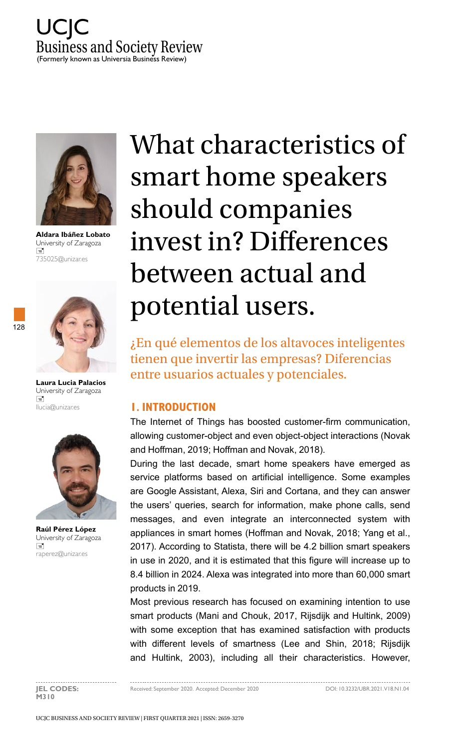



**Aldara Ibáñez Lobato** University of Zaragoza  $\equiv$ 735025@unizar.es



128

**Laura Lucia Palacios**  University of Zaragoza  $\equiv$ llucia@unizar.es



**Raúl Pérez López**  University of Zaragoza  $\equiv$ raperez@unizar.es

# What characteristics of smart home speakers should companies invest in? Differences between actual and potential users.

¿En qué elementos de los altavoces inteligentes tienen que invertir las empresas? Diferencias entre usuarios actuales y potenciales.

## **1. INTRODUCTION**

The Internet of Things has boosted customer-firm communication, allowing customer-object and even object-object interactions (Novak and Hoffman, 2019; Hoffman and Novak, 2018).

During the last decade, smart home speakers have emerged as service platforms based on artificial intelligence. Some examples are Google Assistant, Alexa, Siri and Cortana, and they can answer the users' queries, search for information, make phone calls, send messages, and even integrate an interconnected system with appliances in smart homes (Hoffman and Novak, 2018; Yang et al., 2017). According to Statista, there will be 4.2 billion smart speakers in use in 2020, and it is estimated that this figure will increase up to 8.4 billion in 2024. Alexa was integrated into more than 60,000 smart products in 2019.

Most previous research has focused on examining intention to use smart products (Mani and Chouk, 2017, Rijsdijk and Hultink, 2009) with some exception that has examined satisfaction with products with different levels of smartness (Lee and Shin, 2018; Rijsdijk and Hultink, 2003), including all their characteristics. However,

. . . . . . . . . . . . . . . **M310**

**JEL CODES:** Received: September 2020. Accepted: December 2020 DOI: 10.3232/UBR.2021.V18.N1.04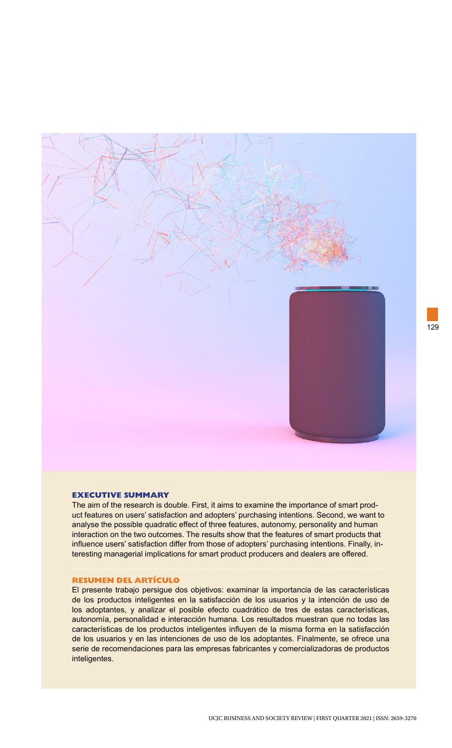

#### **EXECUTIVE SUMMARY**

The aim of the research is double. First, it aims to examine the importance of smart product features on users' satisfaction and adopters' purchasing intentions. Second, we want to analyse the possible quadratic effect of three features, autonomy, personality and human interaction on the two outcomes. The results show that the features of smart products that influence users' satisfaction differ from those of adopters' purchasing intentions. Finally, interesting managerial implications for smart product producers and dealers are offered.

#### **RESUMEN DEL ARTÍCULO**

El presente trabajo persigue dos objetivos: examinar la importancia de las características de los productos inteligentes en la satisfacción de los usuarios y la intención de uso de los adoptantes, y analizar el posible efecto cuadrático de tres de estas características, autonomía, personalidad e interacción humana. Los resultados muestran que no todas las características de los productos inteligentes influyen de la misma forma en la satisfacción de los usuarios y en las intenciones de uso de los adoptantes. Finalmente, se ofrece una serie de recomendaciones para las empresas fabricantes y comercializadoras de productos inteligentes.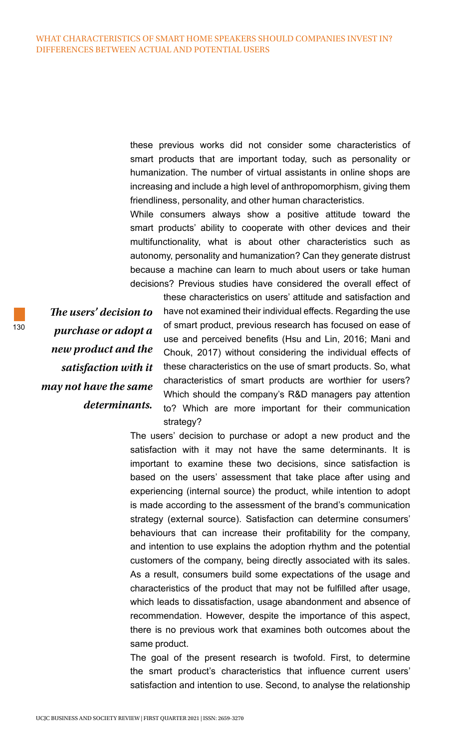these previous works did not consider some characteristics of smart products that are important today, such as personality or humanization. The number of virtual assistants in online shops are increasing and include a high level of anthropomorphism, giving them friendliness, personality, and other human characteristics.

While consumers always show a positive attitude toward the smart products' ability to cooperate with other devices and their multifunctionality, what is about other characteristics such as autonomy, personality and humanization? Can they generate distrust because a machine can learn to much about users or take human decisions? Previous studies have considered the overall effect of

*The users' decision to purchase or adopt a new product and the satisfaction with it may not have the same determinants.* 

these characteristics on users' attitude and satisfaction and have not examined their individual effects. Regarding the use of smart product, previous research has focused on ease of use and perceived benefits (Hsu and Lin, 2016; Mani and Chouk, 2017) without considering the individual effects of these characteristics on the use of smart products. So, what characteristics of smart products are worthier for users? Which should the company's R&D managers pay attention to? Which are more important for their communication strategy?

The users' decision to purchase or adopt a new product and the satisfaction with it may not have the same determinants. It is important to examine these two decisions, since satisfaction is based on the users' assessment that take place after using and experiencing (internal source) the product, while intention to adopt is made according to the assessment of the brand's communication strategy (external source). Satisfaction can determine consumers' behaviours that can increase their profitability for the company, and intention to use explains the adoption rhythm and the potential customers of the company, being directly associated with its sales. As a result, consumers build some expectations of the usage and characteristics of the product that may not be fulfilled after usage, which leads to dissatisfaction, usage abandonment and absence of recommendation. However, despite the importance of this aspect, there is no previous work that examines both outcomes about the same product.

The goal of the present research is twofold. First, to determine the smart product's characteristics that influence current users' satisfaction and intention to use. Second, to analyse the relationship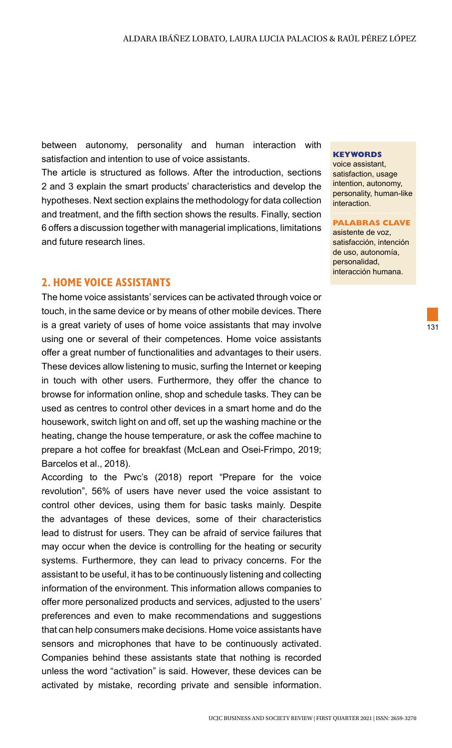between autonomy, personality and human interaction with satisfaction and intention to use of voice assistants.

The article is structured as follows. After the introduction, sections 2 and 3 explain the smart products' characteristics and develop the hypotheses. Next section explains the methodology for data collection and treatment, and the fifth section shows the results. Finally, section 6 offers a discussion together with managerial implications, limitations and future research lines.

## **2. HOME VOICE ASSISTANTS**

The home voice assistants' services can be activated through voice or touch, in the same device or by means of other mobile devices. There is a great variety of uses of home voice assistants that may involve using one or several of their competences. Home voice assistants offer a great number of functionalities and advantages to their users. These devices allow listening to music, surfing the Internet or keeping in touch with other users. Furthermore, they offer the chance to browse for information online, shop and schedule tasks. They can be used as centres to control other devices in a smart home and do the housework, switch light on and off, set up the washing machine or the heating, change the house temperature, or ask the coffee machine to prepare a hot coffee for breakfast (McLean and Osei-Frimpo, 2019; Barcelos et al., 2018).

According to the Pwc's (2018) report "Prepare for the voice revolution", 56% of users have never used the voice assistant to control other devices, using them for basic tasks mainly. Despite the advantages of these devices, some of their characteristics lead to distrust for users. They can be afraid of service failures that may occur when the device is controlling for the heating or security systems. Furthermore, they can lead to privacy concerns. For the assistant to be useful, it has to be continuously listening and collecting information of the environment. This information allows companies to offer more personalized products and services, adjusted to the users' preferences and even to make recommendations and suggestions that can help consumers make decisions. Home voice assistants have sensors and microphones that have to be continuously activated. Companies behind these assistants state that nothing is recorded unless the word "activation" is said. However, these devices can be activated by mistake, recording private and sensible information.

#### **KEYWORDS**

voice assistant, satisfaction, usage intention, autonomy, personality, human-like interaction.

#### **PALABRAS CLAVE**

asistente de voz, satisfacción, intención de uso, autonomía, personalidad, interacción humana.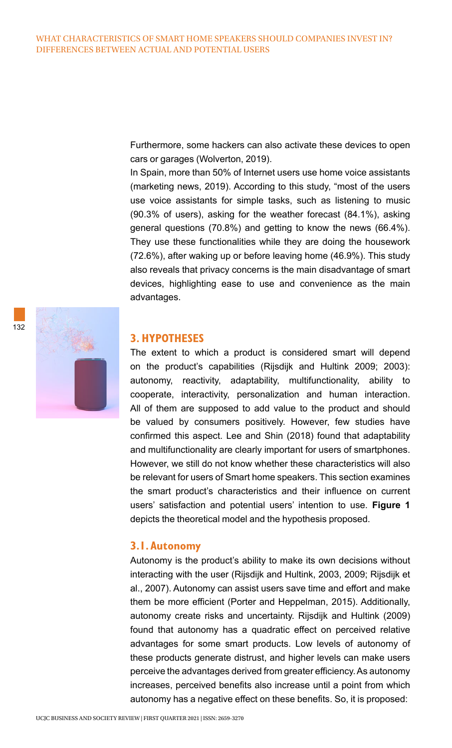Furthermore, some hackers can also activate these devices to open cars or garages (Wolverton, 2019).

In Spain, more than 50% of Internet users use home voice assistants (marketing news, 2019). According to this study, "most of the users use voice assistants for simple tasks, such as listening to music (90.3% of users), asking for the weather forecast (84.1%), asking general questions (70.8%) and getting to know the news (66.4%). They use these functionalities while they are doing the housework (72.6%), after waking up or before leaving home (46.9%). This study also reveals that privacy concerns is the main disadvantage of smart devices, highlighting ease to use and convenience as the main advantages.

#### **3. HYPOTHESES**

The extent to which a product is considered smart will depend on the product's capabilities (Rijsdijk and Hultink 2009; 2003): autonomy, reactivity, adaptability, multifunctionality, ability to cooperate, interactivity, personalization and human interaction. All of them are supposed to add value to the product and should be valued by consumers positively. However, few studies have confirmed this aspect. Lee and Shin (2018) found that adaptability and multifunctionality are clearly important for users of smartphones. However, we still do not know whether these characteristics will also be relevant for users of Smart home speakers. This section examines the smart product's characteristics and their influence on current users' satisfaction and potential users' intention to use. **Figure 1** depicts the theoretical model and the hypothesis proposed.

#### **3.1. Autonomy**

Autonomy is the product's ability to make its own decisions without interacting with the user (Rijsdijk and Hultink, 2003, 2009; Rijsdijk et al., 2007). Autonomy can assist users save time and effort and make them be more efficient (Porter and Heppelman, 2015). Additionally, autonomy create risks and uncertainty. Rijsdijk and Hultink (2009) found that autonomy has a quadratic effect on perceived relative advantages for some smart products. Low levels of autonomy of these products generate distrust, and higher levels can make users perceive the advantages derived from greater efficiency. As autonomy increases, perceived benefits also increase until a point from which autonomy has a negative effect on these benefits. So, it is proposed: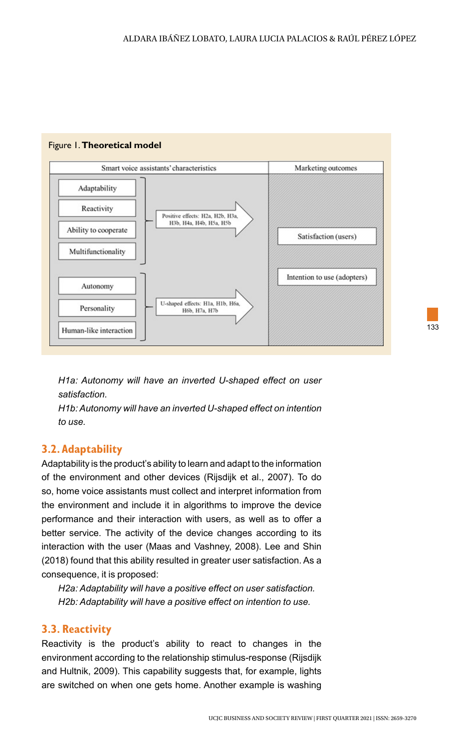

### Figure 1. **Theoretical model**

*H1a: Autonomy will have an inverted U-shaped effect on user satisfaction.* 

*H1b: Autonomy will have an inverted U-shaped effect on intention to use.* 

# **3.2. Adaptability**

Adaptability is the product's ability to learn and adapt to the information of the environment and other devices (Rijsdijk et al., 2007). To do so, home voice assistants must collect and interpret information from the environment and include it in algorithms to improve the device performance and their interaction with users, as well as to offer a better service. The activity of the device changes according to its interaction with the user (Maas and Vashney, 2008). Lee and Shin (2018) found that this ability resulted in greater user satisfaction. As a consequence, it is proposed:

*H2a: Adaptability will have a positive effect on user satisfaction. H2b: Adaptability will have a positive effect on intention to use.* 

## **3.3. Reactivity**

Reactivity is the product's ability to react to changes in the environment according to the relationship stimulus-response (Rijsdijk and Hultnik, 2009). This capability suggests that, for example, lights are switched on when one gets home. Another example is washing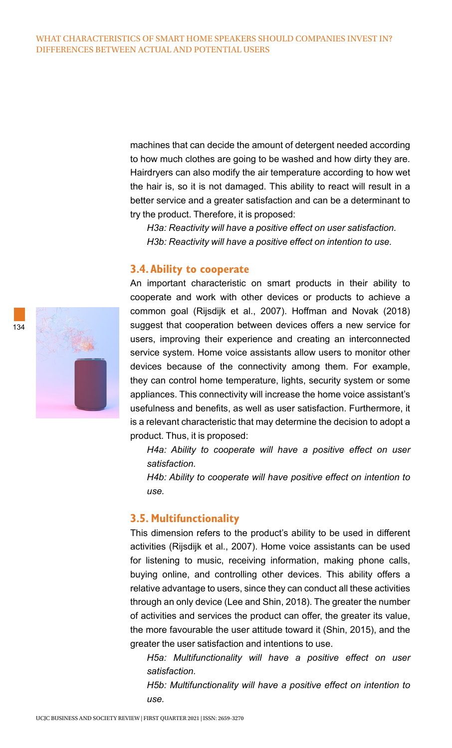machines that can decide the amount of detergent needed according to how much clothes are going to be washed and how dirty they are. Hairdryers can also modify the air temperature according to how wet the hair is, so it is not damaged. This ability to react will result in a better service and a greater satisfaction and can be a determinant to try the product. Therefore, it is proposed:

*H3a: Reactivity will have a positive effect on user satisfaction. H3b: Reactivity will have a positive effect on intention to use.* 

#### **3.4. Ability to cooperate**

An important characteristic on smart products in their ability to cooperate and work with other devices or products to achieve a common goal (Rijsdijk et al., 2007). Hoffman and Novak (2018) suggest that cooperation between devices offers a new service for users, improving their experience and creating an interconnected service system. Home voice assistants allow users to monitor other devices because of the connectivity among them. For example, they can control home temperature, lights, security system or some appliances. This connectivity will increase the home voice assistant's usefulness and benefits, as well as user satisfaction. Furthermore, it is a relevant characteristic that may determine the decision to adopt a product. Thus, it is proposed:

*H4a: Ability to cooperate will have a positive effect on user satisfaction.* 

*H4b: Ability to cooperate will have positive effect on intention to use.* 

# **3.5. Multifunctionality**

This dimension refers to the product's ability to be used in different activities (Rijsdijk et al., 2007). Home voice assistants can be used for listening to music, receiving information, making phone calls, buying online, and controlling other devices. This ability offers a relative advantage to users, since they can conduct all these activities through an only device (Lee and Shin, 2018). The greater the number of activities and services the product can offer, the greater its value, the more favourable the user attitude toward it (Shin, 2015), and the greater the user satisfaction and intentions to use.

*H5a: Multifunctionality will have a positive effect on user satisfaction.* 

*H5b: Multifunctionality will have a positive effect on intention to use.* 

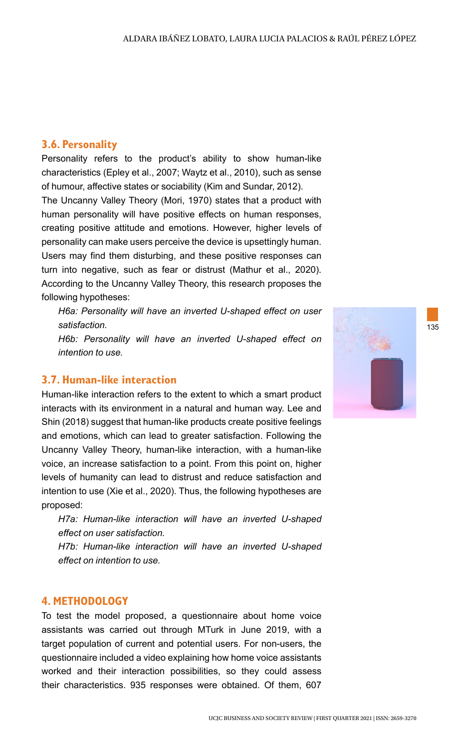## **3.6. Personality**

Personality refers to the product's ability to show human-like characteristics (Epley et al., 2007; Waytz et al., 2010), such as sense of humour, affective states or sociability (Kim and Sundar, 2012).

The Uncanny Valley Theory (Mori, 1970) states that a product with human personality will have positive effects on human responses, creating positive attitude and emotions. However, higher levels of personality can make users perceive the device is upsettingly human. Users may find them disturbing, and these positive responses can turn into negative, such as fear or distrust (Mathur et al., 2020). According to the Uncanny Valley Theory, this research proposes the following hypotheses:

*H6a: Personality will have an inverted U-shaped effect on user satisfaction.* 

*H6b: Personality will have an inverted U-shaped effect on intention to use.* 

# **3.7. Human-like interaction**

Human-like interaction refers to the extent to which a smart product interacts with its environment in a natural and human way. Lee and Shin (2018) suggest that human-like products create positive feelings and emotions, which can lead to greater satisfaction. Following the Uncanny Valley Theory, human-like interaction, with a human-like voice, an increase satisfaction to a point. From this point on, higher levels of humanity can lead to distrust and reduce satisfaction and intention to use (Xie et al., 2020). Thus, the following hypotheses are proposed:

*H7a: Human-like interaction will have an inverted U-shaped effect on user satisfaction.* 

*H7b: Human-like interaction will have an inverted U-shaped effect on intention to use.*

#### **4. METHODOLOGY**

To test the model proposed, a questionnaire about home voice assistants was carried out through MTurk in June 2019, with a target population of current and potential users. For non-users, the questionnaire included a video explaining how home voice assistants worked and their interaction possibilities, so they could assess their characteristics. 935 responses were obtained. Of them, 607

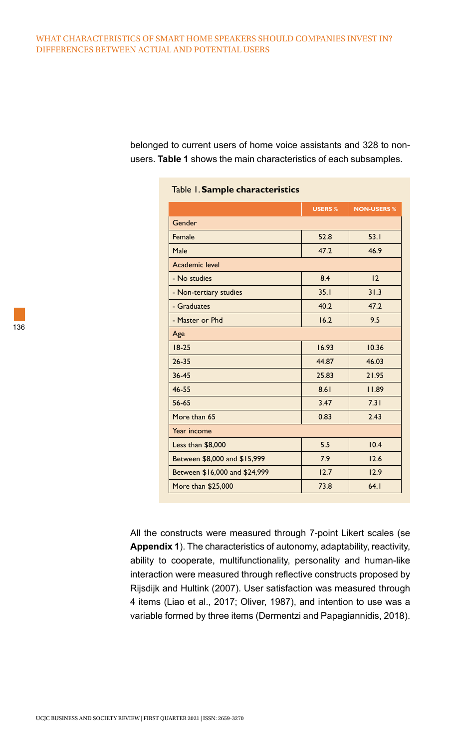#### WHAT CHARACTERISTICS OF SMART HOME SPEAKERS SHOULD COMPANIES INVEST IN? DIFFERENCES BETWEEN ACTUAL AND POTENTIAL USERS

belonged to current users of home voice assistants and 328 to nonusers. **Table 1** shows the main characteristics of each subsamples.

|                               | <b>USERS %</b> | <b>NON-USERS %</b> |
|-------------------------------|----------------|--------------------|
| Gender                        |                |                    |
| Female                        | 52.8           | 53.1               |
| Male                          | 47.2           | 46.9               |
| Academic level                |                |                    |
| - No studies                  | 8.4            | 12                 |
| - Non-tertiary studies        | 35.1           | 31.3               |
| - Graduates                   | 40.2           | 47.2               |
| - Master or Phd               | 16.2           | 9.5                |
| Age                           |                |                    |
| $18-25$                       | 16.93          | 10.36              |
| $26 - 35$                     | 44.87          | 46.03              |
| $36 - 45$                     | 25.83          | 21.95              |
| $46 - 55$                     | 8.61           | 11.89              |
| $56 - 65$                     | 3.47           | 7.31               |
| More than 65                  | 0.83           | 2.43               |
| Year income                   |                |                    |
| Less than \$8,000             | 5.5            | 10.4               |
| Between \$8,000 and \$15,999  | 7.9            | 12.6               |
| Between \$16,000 and \$24,999 | 12.7           | 12.9               |
| More than \$25,000            | 73.8           | 64.1               |

## Table 1. **Sample characteristics**

All the constructs were measured through 7-point Likert scales (se **Appendix 1**). The characteristics of autonomy, adaptability, reactivity, ability to cooperate, multifunctionality, personality and human-like interaction were measured through reflective constructs proposed by Rijsdijk and Hultink (2007). User satisfaction was measured through 4 items (Liao et al., 2017; Oliver, 1987), and intention to use was a variable formed by three items (Dermentzi and Papagiannidis, 2018).

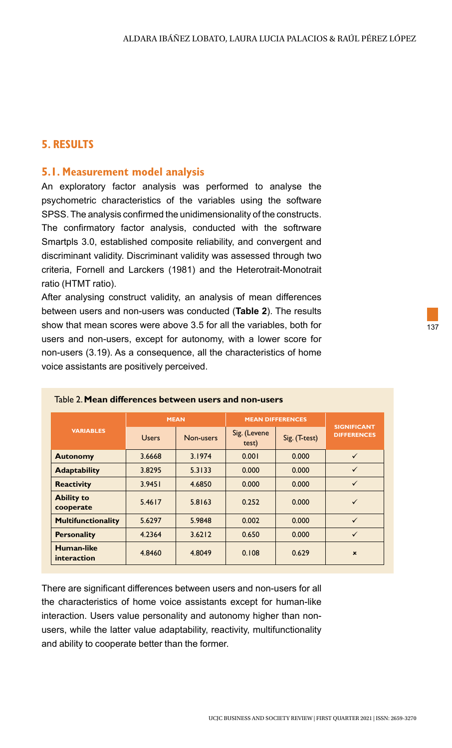# **5. RESULTS**

## **5.1. Measurement model analysis**

An exploratory factor analysis was performed to analyse the psychometric characteristics of the variables using the software SPSS. The analysis confirmed the unidimensionality of the constructs. The confirmatory factor analysis, conducted with the softrware Smartpls 3.0, established composite reliability, and convergent and discriminant validity. Discriminant validity was assessed through two criteria, Fornell and Larckers (1981) and the Heterotrait-Monotrait ratio (HTMT ratio).

After analysing construct validity, an analysis of mean differences between users and non-users was conducted (**Table 2**). The results show that mean scores were above 3.5 for all the variables, both for users and non-users, except for autonomy, with a lower score for non-users (3.19). As a consequence, all the characteristics of home voice assistants are positively perceived.

|                                  |              | <b>MEAN</b> | <b>MEAN DIFFERENCES</b> |               |                                          |
|----------------------------------|--------------|-------------|-------------------------|---------------|------------------------------------------|
| <b>VARIABLES</b>                 | <b>Users</b> | Non-users   | Sig. (Levene<br>test)   | Sig. (T-test) | <b>SIGNIFICANT</b><br><b>DIFFERENCES</b> |
| <b>Autonomy</b>                  | 3.6668       | 3.1974      | 0.001                   | 0.000         | $\checkmark$                             |
| <b>Adaptability</b>              | 3.8295       | 5.3133      | 0.000                   | 0.000         | $\checkmark$                             |
| <b>Reactivity</b>                | 3.9451       | 4.6850      | 0.000                   | 0.000         | $\checkmark$                             |
| <b>Ability to</b><br>cooperate   | 5.4617       | 5.8163      | 0.252                   | 0.000         | $\checkmark$                             |
| <b>Multifunctionality</b>        | 5.6297       | 5.9848      | 0.002                   | 0.000         | $\checkmark$                             |
| <b>Personality</b>               | 4.2364       | 3.6212      | 0.650                   | 0.000         | $\checkmark$                             |
| <b>Human-like</b><br>interaction | 4.8460       | 4.8049      | 0.108                   | 0.629         | $\pmb{\times}$                           |

#### Table 2. **Mean differences between users and non-users**

There are significant differences between users and non-users for all the characteristics of home voice assistants except for human-like interaction. Users value personality and autonomy higher than nonusers, while the latter value adaptability, reactivity, multifunctionality and ability to cooperate better than the former.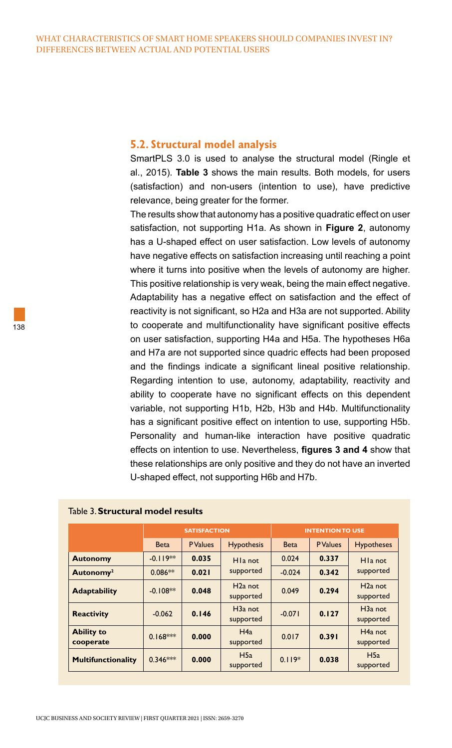#### **5.2. Structural model analysis**

SmartPLS 3.0 is used to analyse the structural model (Ringle et al., 2015). **Table 3** shows the main results. Both models, for users (satisfaction) and non-users (intention to use), have predictive relevance, being greater for the former.

The results show that autonomy has a positive quadratic effect on user satisfaction, not supporting H1a. As shown in **Figure 2**, autonomy has a U-shaped effect on user satisfaction. Low levels of autonomy have negative effects on satisfaction increasing until reaching a point where it turns into positive when the levels of autonomy are higher. This positive relationship is very weak, being the main effect negative. Adaptability has a negative effect on satisfaction and the effect of reactivity is not significant, so H2a and H3a are not supported. Ability to cooperate and multifunctionality have significant positive effects on user satisfaction, supporting H4a and H5a. The hypotheses H6a and H7a are not supported since quadric effects had been proposed and the findings indicate a significant lineal positive relationship. Regarding intention to use, autonomy, adaptability, reactivity and ability to cooperate have no significant effects on this dependent variable, not supporting H1b, H2b, H3b and H4b. Multifunctionality has a significant positive effect on intention to use, supporting H5b. Personality and human-like interaction have positive quadratic effects on intention to use. Nevertheless, **figures 3 and 4** show that these relationships are only positive and they do not have an inverted U-shaped effect, not supporting H6b and H7b.

|                                | <b>SATISFACTION</b> |                 |                                   | <b>INTENTION TO USE</b> |                 |                                   |
|--------------------------------|---------------------|-----------------|-----------------------------------|-------------------------|-----------------|-----------------------------------|
|                                | <b>Beta</b>         | <b>P</b> Values | <b>Hypothesis</b>                 | <b>Beta</b>             | <b>P</b> Values | <b>Hypotheses</b>                 |
| <b>Autonomy</b>                | $-0.119**$          | 0.035           | H <sub>la</sub> not               | 0.024                   | 0.337           | H <sub>la</sub> not               |
| Autonomy <sup>2</sup>          | $0.086**$           | 0.021           | supported                         | $-0.024$                | 0.342           | supported                         |
| <b>Adaptability</b>            | $-0.108**$          | 0.048           | $H2a$ not<br>supported            | 0.049                   | 0.294           | $H2a$ not<br>supported            |
| <b>Reactivity</b>              | $-0.062$            | 0.146           | H <sub>3</sub> a not<br>supported | $-0.071$                | 0.127           | H <sub>3</sub> a not<br>supported |
| <b>Ability to</b><br>cooperate | $0.168***$          | 0.000           | H4a<br>supported                  | 0.017                   | 0.391           | $H4a$ not<br>supported            |
| <b>Multifunctionality</b>      | $0.346***$          | 0.000           | H5a<br>supported                  | $0.119*$                | 0.038           | H5a<br>supported                  |

#### Table 3. **Structural model results**

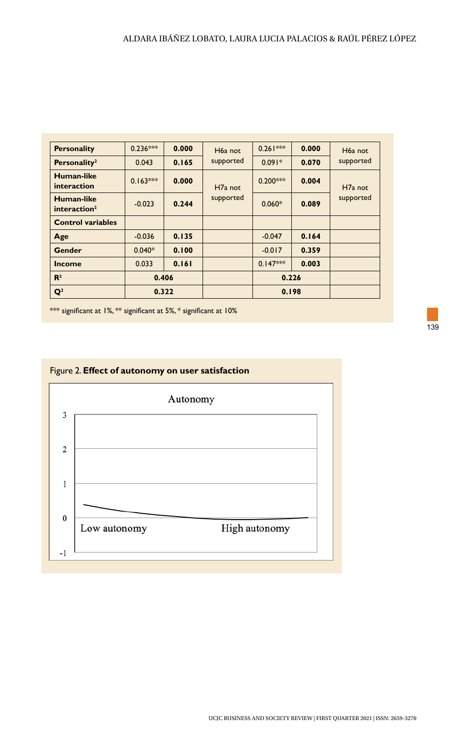| <b>Personality</b>                     | $0.236***$ | 0.000 | H <sub>6</sub> a not | $0.261***$ | 0.000 | H <sub>6</sub> a not |
|----------------------------------------|------------|-------|----------------------|------------|-------|----------------------|
| Personality <sup>2</sup>               | 0.043      | 0.165 | supported            | $0.091*$   | 0.070 | supported            |
| Human-like<br>interaction              | $0.163***$ | 0.000 | H <sub>7</sub> a not | $0.200***$ | 0.004 | H <sub>7</sub> a not |
| Human-like<br>interaction <sup>2</sup> | $-0.023$   | 0.244 | supported            | $0.060*$   | 0.089 | supported            |
| <b>Control variables</b>               |            |       |                      |            |       |                      |
| Age                                    | $-0.036$   | 0.135 |                      | $-0.047$   | 0.164 |                      |
| Gender                                 | $0.040*$   | 0.100 |                      | $-0.017$   | 0.359 |                      |
| <b>Income</b>                          | 0.033      | 0.161 |                      | $0.147***$ | 0.003 |                      |
| $\mathbb{R}^2$                         | 0.406      |       |                      | 0.226      |       |                      |
| $\mathbf{Q}^2$                         | 0.322      |       |                      | 0.198      |       |                      |

\*\*\* significant at 1%, \*\* significant at 5%, \* significant at 10%



## Figure 2. **Effect of autonomy on user satisfaction**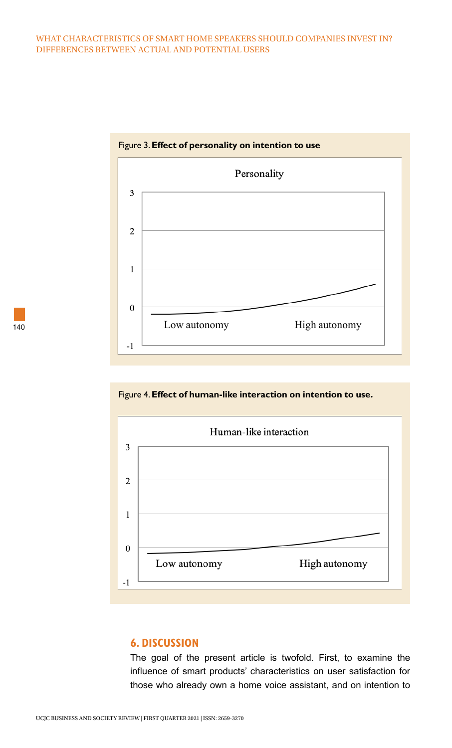#### WHAT CHARACTERISTICS OF SMART HOME SPEAKERS SHOULD COMPANIES INVEST IN? DIFFERENCES BETWEEN ACTUAL AND POTENTIAL USERS



Figure 3. **Effect of personality on intention to use**





## **6. DISCUSSION**

The goal of the present article is twofold. First, to examine the influence of smart products' characteristics on user satisfaction for those who already own a home voice assistant, and on intention to

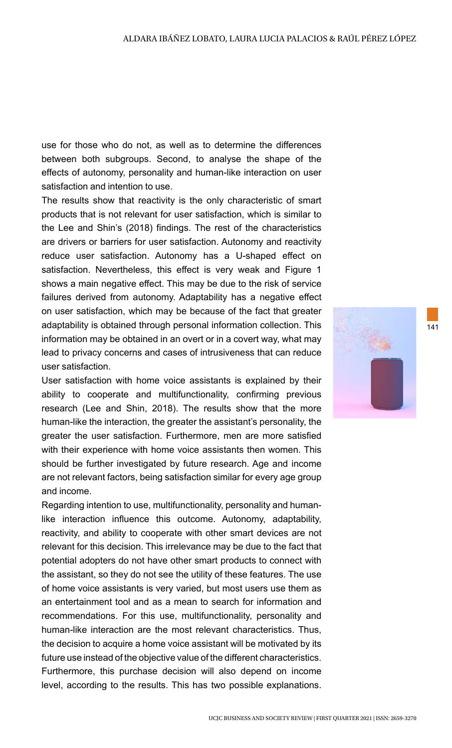use for those who do not, as well as to determine the differences between both subgroups. Second, to analyse the shape of the effects of autonomy, personality and human-like interaction on user satisfaction and intention to use.

The results show that reactivity is the only characteristic of smart products that is not relevant for user satisfaction, which is similar to the Lee and Shin's (2018) findings. The rest of the characteristics are drivers or barriers for user satisfaction. Autonomy and reactivity reduce user satisfaction. Autonomy has a U-shaped effect on satisfaction. Nevertheless, this effect is very weak and Figure 1 shows a main negative effect. This may be due to the risk of service failures derived from autonomy. Adaptability has a negative effect on user satisfaction, which may be because of the fact that greater adaptability is obtained through personal information collection. This information may be obtained in an overt or in a covert way, what may lead to privacy concerns and cases of intrusiveness that can reduce user satisfaction.

User satisfaction with home voice assistants is explained by their ability to cooperate and multifunctionality, confirming previous research (Lee and Shin, 2018). The results show that the more human-like the interaction, the greater the assistant's personality, the greater the user satisfaction. Furthermore, men are more satisfied with their experience with home voice assistants then women. This should be further investigated by future research. Age and income are not relevant factors, being satisfaction similar for every age group and income.

Regarding intention to use, multifunctionality, personality and humanlike interaction influence this outcome. Autonomy, adaptability, reactivity, and ability to cooperate with other smart devices are not relevant for this decision. This irrelevance may be due to the fact that potential adopters do not have other smart products to connect with the assistant, so they do not see the utility of these features. The use of home voice assistants is very varied, but most users use them as an entertainment tool and as a mean to search for information and recommendations. For this use, multifunctionality, personality and human-like interaction are the most relevant characteristics. Thus, the decision to acquire a home voice assistant will be motivated by its future use instead of the objective value of the different characteristics. Furthermore, this purchase decision will also depend on income level, according to the results. This has two possible explanations.

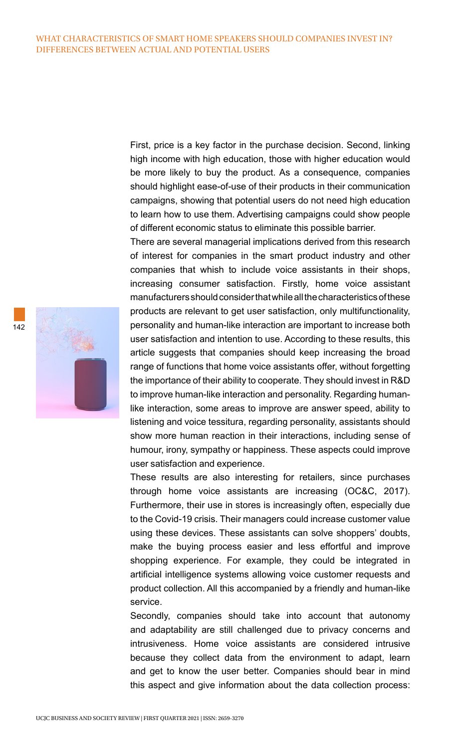First, price is a key factor in the purchase decision. Second, linking high income with high education, those with higher education would be more likely to buy the product. As a consequence, companies should highlight ease-of-use of their products in their communication campaigns, showing that potential users do not need high education to learn how to use them. Advertising campaigns could show people of different economic status to eliminate this possible barrier.

There are several managerial implications derived from this research of interest for companies in the smart product industry and other companies that whish to include voice assistants in their shops, increasing consumer satisfaction. Firstly, home voice assistant manufacturers should consider that while all the characteristics of these products are relevant to get user satisfaction, only multifunctionality, personality and human-like interaction are important to increase both user satisfaction and intention to use. According to these results, this article suggests that companies should keep increasing the broad range of functions that home voice assistants offer, without forgetting the importance of their ability to cooperate. They should invest in R&D to improve human-like interaction and personality. Regarding humanlike interaction, some areas to improve are answer speed, ability to listening and voice tessitura, regarding personality, assistants should show more human reaction in their interactions, including sense of humour, irony, sympathy or happiness. These aspects could improve user satisfaction and experience.

These results are also interesting for retailers, since purchases through home voice assistants are increasing (OC&C, 2017). Furthermore, their use in stores is increasingly often, especially due to the Covid-19 crisis. Their managers could increase customer value using these devices. These assistants can solve shoppers' doubts, make the buying process easier and less effortful and improve shopping experience. For example, they could be integrated in artificial intelligence systems allowing voice customer requests and product collection. All this accompanied by a friendly and human-like service.

Secondly, companies should take into account that autonomy and adaptability are still challenged due to privacy concerns and intrusiveness. Home voice assistants are considered intrusive because they collect data from the environment to adapt, learn and get to know the user better. Companies should bear in mind this aspect and give information about the data collection process:

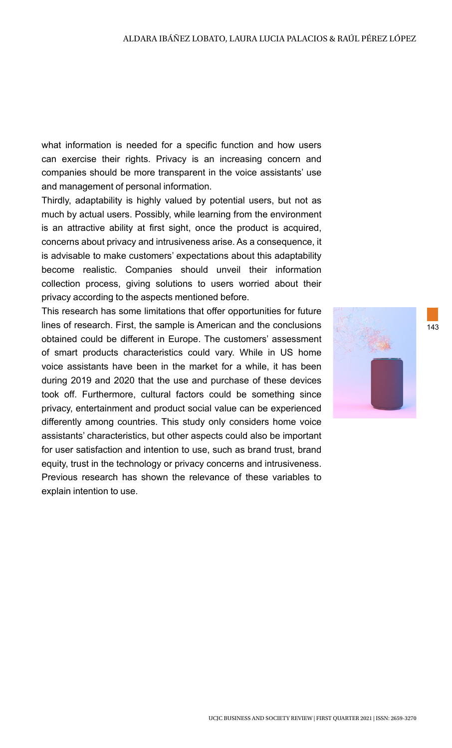what information is needed for a specific function and how users can exercise their rights. Privacy is an increasing concern and companies should be more transparent in the voice assistants' use and management of personal information.

Thirdly, adaptability is highly valued by potential users, but not as much by actual users. Possibly, while learning from the environment is an attractive ability at first sight, once the product is acquired, concerns about privacy and intrusiveness arise. As a consequence, it is advisable to make customers' expectations about this adaptability become realistic. Companies should unveil their information collection process, giving solutions to users worried about their privacy according to the aspects mentioned before.

This research has some limitations that offer opportunities for future lines of research. First, the sample is American and the conclusions obtained could be different in Europe. The customers' assessment of smart products characteristics could vary. While in US home voice assistants have been in the market for a while, it has been during 2019 and 2020 that the use and purchase of these devices took off. Furthermore, cultural factors could be something since privacy, entertainment and product social value can be experienced differently among countries. This study only considers home voice assistants' characteristics, but other aspects could also be important for user satisfaction and intention to use, such as brand trust, brand equity, trust in the technology or privacy concerns and intrusiveness. Previous research has shown the relevance of these variables to explain intention to use.

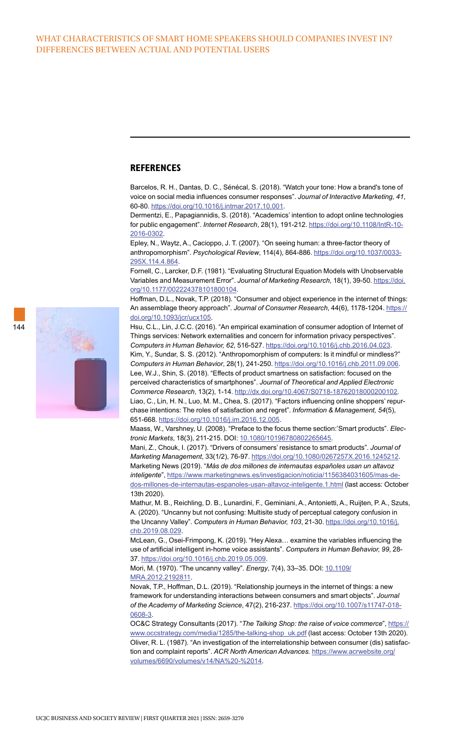#### **REFERENCES**

Barcelos, R. H., Dantas, D. C., Sénécal, S. (2018). "Watch your tone: How a brand's tone of voice on social media influences consumer responses". *Journal of Interactive Marketing, 41*, 60-80. [https://doi.org/10.1016/j.intmar.2017.10.001.](https://doi.org/10.1016/j.intmar.2017.10.001)

Dermentzi, E., Papagiannidis, S. (2018). "Academics' intention to adopt online technologies for public engagement". *Internet Research*, 28(1), 191-212. [https://doi.org/10.1108/IntR-10-](https://doi.org/10.1108/IntR-10-2016-0302) [2016-0302.](https://doi.org/10.1108/IntR-10-2016-0302)

Epley, N., Waytz, A., Cacioppo, J. T. (2007). "On seeing human: a three-factor theory of anthropomorphism". *Psychological Review*, 114(4), 864-886. [https://doi.org/10.1037/0033-](https://doi.org/10.1037/0033-295X.114.4.864) [295X.114.4.864](https://doi.org/10.1037/0033-295X.114.4.864).

Fornell, C., Larcker, D.F. (1981). "Evaluating Structural Equation Models with Unobservable Variables and Measurement Error". *Journal of Marketing Research*, 18(1), 39-50. [https://doi.](https://doi.org/10.1177/002224378101800104) [org/10.1177/002224378101800104](https://doi.org/10.1177/002224378101800104).

Hoffman, D.L., Novak, T.P. (2018). "Consumer and object experience in the internet of things: An assemblage theory approach". *Journal of Consumer Research*, 44(6), 1178-1204. [https://](https://doi.org/10.1093/jcr/ucx105) [doi.org/10.1093/jcr/ucx105.](https://doi.org/10.1093/jcr/ucx105)

Hsu, C.L., Lin, J.C.C. (2016). "An empirical examination of consumer adoption of Internet of Things services: Network externalities and concern for information privacy perspectives". *Computers in Human Behavior, 62*, 516-527.<https://doi.org/10.1016/j.chb.2016.04.023>. Kim, Y., Sundar, S. S. (2012). "Anthropomorphism of computers: Is it mindful or mindless?" *Computers in Human Behavior*, 28(1), 241-250. [https://doi.org/10.1016/j.chb.2011.09.006.](https://doi.org/10.1016/j.chb.2011.09.006) Lee, W.J., Shin, S. (2018). "Effects of product smartness on satisfaction: focused on the perceived characteristics of smartphones". *Journal of Theoretical and Applied Electronic Commerce Research*, 13(2), 1-14.<http://dx.doi.org/10.4067/S0718-18762018000200102>. Liao, C., Lin, H. N., Luo, M. M., Chea, S. (2017). "Factors influencing online shoppers' repurchase intentions: The roles of satisfaction and regret". *Information & Management, 54*(5), 651-668. [https://doi.org/10.1016/j.im.2016.12.005.](https://doi.org/10.1016/j.im.2016.12.005)

Maass, W., Varshney, U. (2008). "Preface to the focus theme section:'Smart products". *Electronic Markets*, 18(3), 211-215. DOI: [10.1080/10196780802265645.](https://doi.org/10.1080/10196780802265645)

Mani, Z., Chouk, I. (2017). "Drivers of consumers' resistance to smart products". *Journal of Marketing Management*, 33(1/2), 76-97. [https://doi.org/10.1080/0267257X.2016.1245212.](https://doi.org/10.1080/0267257X.2016.1245212) Marketing News (2019). "*Más de dos millones de internautas españoles usan un altavoz inteligente*", [https://www.marketingnews.es/investigacion/noticia/1156384031605/mas-de](https://www.marketingnews.es/investigacion/noticia/1156384031605/mas-de-dos-millones-de-internautas-)[dos-millones-de-internautas-espanoles-usan-altavoz-inteligente.1.html](https://www.marketingnews.es/investigacion/noticia/1156384031605/mas-de-dos-millones-de-internautas-) (last access: October 13th 2020).

Mathur, M. B., Reichling, D. B., Lunardini, F., Geminiani, A., Antonietti, A., Ruijten, P. A., Szuts, A. (2020). "Uncanny but not confusing: Multisite study of perceptual category confusion in the Uncanny Valley". *Computers in Human Behavior, 103*, 21-30. [https://doi.org/10.1016/j.](https://doi.org/10.1016/j.chb.2019.08.029) [chb.2019.08.029](https://doi.org/10.1016/j.chb.2019.08.029).

McLean, G., Osei-Frimpong, K. (2019). "Hey Alexa… examine the variables influencing the use of artificial intelligent in-home voice assistants". *Computers in Human Behavior, 99*, 28- 37. [https://doi.org/10.1016/j.chb.2019.05.009.](https://doi.org/10.1016/j.chb.2019.05.009)

Mori, M. (1970). "The uncanny valley". *Energy*, 7(4), 33–35. DOI: [10.1109/](https://doi.org/10.1109/MRA.2012.2192811) [MRA.2012.2192811.](https://doi.org/10.1109/MRA.2012.2192811)

Novak, T.P., Hoffman, D.L. (2019). "Relationship journeys in the internet of things: a new framework for understanding interactions between consumers and smart objects". *Journal of the Academy of Marketing Science*, 47(2), 216-237. [https://doi.org/10.1007/s11747-018-](https://doi.org/10.1007/s11747-018-0608-3) [0608-3](https://doi.org/10.1007/s11747-018-0608-3).

OC&C Strategy Consultants (2017). "The Talking Shop: the raise of voice commerce", [https://](https://www.occstrategy.com/media/1285/the-talking-shop_uk.pdf) [www.occstrategy.com/media/1285/the-talking-shop\\_uk.pdf](https://www.occstrategy.com/media/1285/the-talking-shop_uk.pdf) (last access: October 13th 2020). Oliver, R. L. (1987). "An investigation of the interrelationship between consumer (dis) satisfaction and complaint reports". *ACR North American Advances.* [https://www.acrwebsite.org/](https://www.acrwebsite.org/volumes/6690/volumes/v14/NA%20-%2014) [volumes/6690/volumes/v14/NA%20-%2014.](https://www.acrwebsite.org/volumes/6690/volumes/v14/NA%20-%2014)

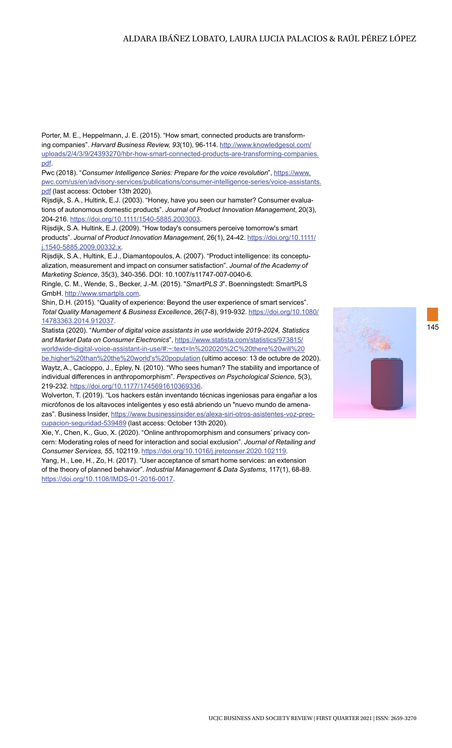#### ALDARA IBÁÑEZ LOBATO, LAURA LUCIA PALACIOS & RAÚL PÉREZ LÓPEZ

Porter, M. E., Heppelmann, J. E. (2015). "How smart, connected products are transforming companies". *Harvard Business Review, 93*(10), 96-114. [http://www.knowledgesol.com/](http://www.knowledgesol.com/uploads/2/4/3/9/24393270/hbr-how-smart-connected-products-are-transformi) [uploads/2/4/3/9/24393270/hbr-how-smart-connected-products-are-transforming-companies.](http://www.knowledgesol.com/uploads/2/4/3/9/24393270/hbr-how-smart-connected-products-are-transformi) [pdf](http://www.knowledgesol.com/uploads/2/4/3/9/24393270/hbr-how-smart-connected-products-are-transformi).

Pwc (2018). "*Consumer Intelligence Series: Prepare for the voice revolution*", [https://www.](https://www.pwc.com/us/en/advisory-services/publications/consumer-intelligence-series/voice-assistan) [pwc.com/us/en/advisory-services/publications/consumer-intelligence-series/voice-assistants.](https://www.pwc.com/us/en/advisory-services/publications/consumer-intelligence-series/voice-assistan) [pdf](https://www.pwc.com/us/en/advisory-services/publications/consumer-intelligence-series/voice-assistan) (last access: October 13th 2020).

Rijsdijk, S. A., Hultink, E.J. (2003). "Honey, have you seen our hamster? Consumer evaluations of autonomous domestic products". *Journal of Product Innovation Management*, 20(3), 204-216. [https://doi.org/10.1111/1540-5885.2003003.](https://doi.org/10.1111/1540-5885.2003003)

Rijsdijk, S.A. Hultink, E.J. (2009). "How today's consumers perceive tomorrow's smart products". *Journal of Product Innovation Management*, 26(1), 24-42. [https://doi.org/10.1111/](https://doi.org/10.1111/j.1540-5885.2009.00332.x) [j.1540-5885.2009.00332.x.](https://doi.org/10.1111/j.1540-5885.2009.00332.x)

Rijsdijk, S.A., Hultink, E.J., Diamantopoulos, A. (2007). "Product intelligence: its conceptualization, measurement and impact on consumer satisfaction". *Journal of the Academy of Marketing Science*, 35(3), 340-356. DOI: 10.1007/s11747-007-0040-6.

Ringle, C. M., Wende, S., Becker, J.-M. (2015). "*SmartPLS 3*". Boenningstedt: SmartPLS GmbH.<http://www.smartpls.com>.

Shin, D.H. (2015). "Quality of experience: Beyond the user experience of smart services". *Total Quality Management & Business Excellence*, 26(7-8), 919-932. [https://doi.org/10.1080/](https://doi.org/10.1080/14783363.2014.912037) [14783363.2014.912037](https://doi.org/10.1080/14783363.2014.912037).

Statista (2020). "*Number of digital voice assistants in use worldwide 2019-2024, Statistics and Market Data on Consumer Electronics*", [https://www.statista.com/statistics/973815/](https://www.statista.com/statistics/973815/worldwide-digital-voice-assistant-in-use/#:~:text=In%2020) [worldwide-digital-voice-assistant-in-use/#:~:text=In%202020%2C%20there%20will%20](https://www.statista.com/statistics/973815/worldwide-digital-voice-assistant-in-use/#:~:text=In%2020) [be,higher%20than%20the%20world's%20population](https://www.statista.com/statistics/973815/worldwide-digital-voice-assistant-in-use/#:~:text=In%2020) (ultimo acceso: 13 de octubre de 2020).

Waytz, A., Cacioppo, J., Epley, N. (2010). "Who sees human? The stability and importance of individual differences in anthropomorphism". *Perspectives on Psychological Science*, 5(3), 219-232.<https://doi.org/10.1177/1745691610369336>.

Wolverton, T. (2019). "Los hackers están inventando técnicas ingeniosas para engañar a los micrófonos de los altavoces inteligentes y eso está abriendo un "nuevo mundo de amenazas". Business Insider, [https://www.businessinsider.es/alexa-siri-otros-asistentes-voz-preo](https://www.businessinsider.es/alexa-siri-otros-asistentes-voz-preocupacion-seguridad-539489)[cupacion-seguridad-539489](https://www.businessinsider.es/alexa-siri-otros-asistentes-voz-preocupacion-seguridad-539489) (last access: October 13th 2020).

Xie, Y., Chen, K., Guo, X. (2020). "Online anthropomorphism and consumers' privacy concern: Moderating roles of need for interaction and social exclusion". *Journal of Retailing and Consumer Services, 55*, 102119.<https://doi.org/10.1016/j.jretconser.2020.102119>.

Yang, H., Lee, H., Zo, H. (2017). "User acceptance of smart home services: an extension of the theory of planned behavior". *Industrial Management & Data Systems*, 117(1), 68-89. <https://doi.org/10.1108/IMDS-01-2016-0017>.

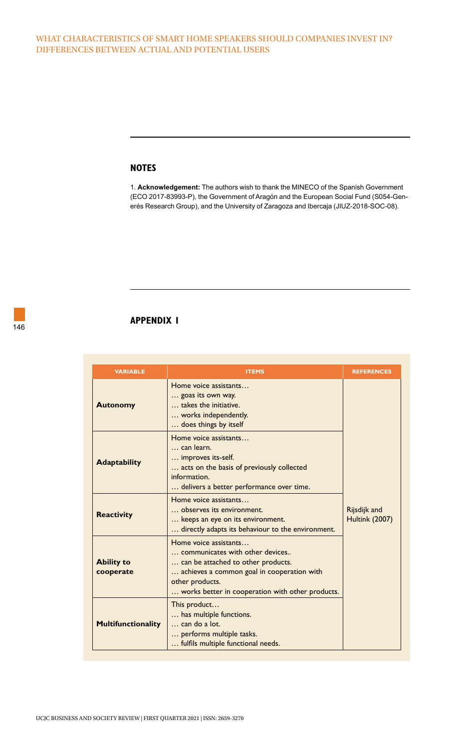#### **NOTES**

1. **Acknowledgement:** The authors wish to thank the MINECO of the Spanish Government (ECO 2017-83993-P), the Government of Aragón and the European Social Fund (S054-Generés Research Group), and the University of Zaragoza and Ibercaja (JIUZ-2018-SOC-08).

# **APPENDIX 1**

| <b>VARIABLE</b>                | <b>ITEMS</b>                                                                                                                                                                                                        | <b>REFERENCES</b>                     |
|--------------------------------|---------------------------------------------------------------------------------------------------------------------------------------------------------------------------------------------------------------------|---------------------------------------|
| <b>Autonomy</b>                | Home voice assistants<br>goas its own way.<br>takes the initiative.<br>works independently.<br>does things by itself                                                                                                |                                       |
| <b>Adaptability</b>            | Home voice assistants<br>can learn.<br>improves its-self.<br>acts on the basis of previously collected<br>information.<br>delivers a better performance over time.                                                  |                                       |
| <b>Reactivity</b>              | Home voice assistants<br>observes its environment.<br>keeps an eye on its environment.<br>directly adapts its behaviour to the environment.                                                                         | Rijsdijk and<br><b>Hultink (2007)</b> |
| <b>Ability to</b><br>cooperate | Home voice assistants<br>communicates with other devices<br>can be attached to other products.<br>achieves a common goal in cooperation with<br>other products.<br>works better in cooperation with other products. |                                       |
| <b>Multifunctionality</b>      | This product<br>has multiple functions.<br>can do a lot.<br>performs multiple tasks.<br>fulfils multiple functional needs.                                                                                          |                                       |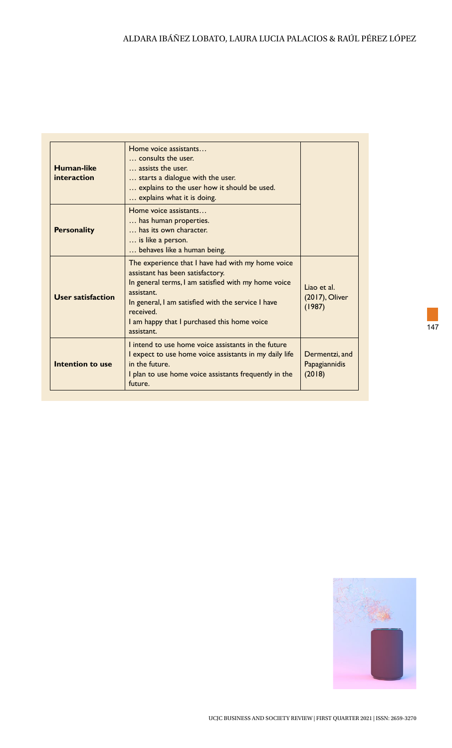| Human-like<br>interaction | Home voice assistants<br>consults the user.<br>assists the user.<br>starts a dialogue with the user.<br>explains to the user how it should be used.<br>explains what it is doing.                                                                                                          |                                           |
|---------------------------|--------------------------------------------------------------------------------------------------------------------------------------------------------------------------------------------------------------------------------------------------------------------------------------------|-------------------------------------------|
| <b>Personality</b>        | Home voice assistants<br>has human properties.<br>has its own character.<br>is like a person.<br>behaves like a human being.                                                                                                                                                               |                                           |
| User satisfaction         | The experience that I have had with my home voice<br>assistant has been satisfactory.<br>In general terms, I am satisfied with my home voice<br>assistant.<br>In general, I am satisfied with the service I have<br>received.<br>I am happy that I purchased this home voice<br>assistant. | Liao et al.<br>(2017), Oliver<br>(1987)   |
| Intention to use          | I intend to use home voice assistants in the future<br>I expect to use home voice assistants in my daily life<br>in the future.<br>I plan to use home voice assistants frequently in the<br>future.                                                                                        | Dermentzi, and<br>Papagiannidis<br>(2018) |



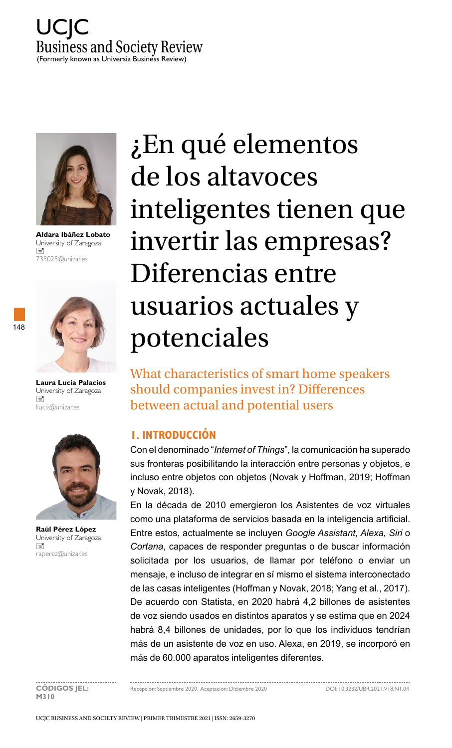



**Aldara Ibáñez Lobato** University of Zaragoza  $\equiv$ 735025@unizar.es





**Laura Lucia Palacios**  University of Zaragoza  $\equiv$ llucia@unizar.es



**Raúl Pérez López**  University of Zaragoza  $\equiv$ raperez@unizar.es

¿En qué elementos de los altavoces inteligentes tienen que invertir las empresas? Diferencias entre usuarios actuales y potenciales

What characteristics of smart home speakers should companies invest in? Differences between actual and potential users

# **1. INTRODUCCIÓN**

Con el denominado "*Internet of Things*", la comunicación ha superado sus fronteras posibilitando la interacción entre personas y objetos, e incluso entre objetos con objetos (Novak y Hoffman, 2019; Hoffman y Novak, 2018).

En la década de 2010 emergieron los Asistentes de voz virtuales como una plataforma de servicios basada en la inteligencia artificial. Entre estos, actualmente se incluyen *Google Assistant, Alexa, Siri* o *Cortana*, capaces de responder preguntas o de buscar información solicitada por los usuarios, de llamar por teléfono o enviar un mensaje, e incluso de integrar en sí mismo el sistema interconectado de las casas inteligentes (Hoffman y Novak, 2018; Yang et al., 2017). De acuerdo con Statista, en 2020 habrá 4,2 billones de asistentes de voz siendo usados en distintos aparatos y se estima que en 2024 habrá 8,4 billones de unidades, por lo que los individuos tendrían más de un asistente de voz en uso. Alexa, en 2019, se incorporó en más de 60.000 aparatos inteligentes diferentes.

**M310**

**CÓDIGOS JEL:** Recepción: Septiembre 2020. Aceptación: Diciembre 2020 DOI: 10.3232/UBR.2021.V18.N1.04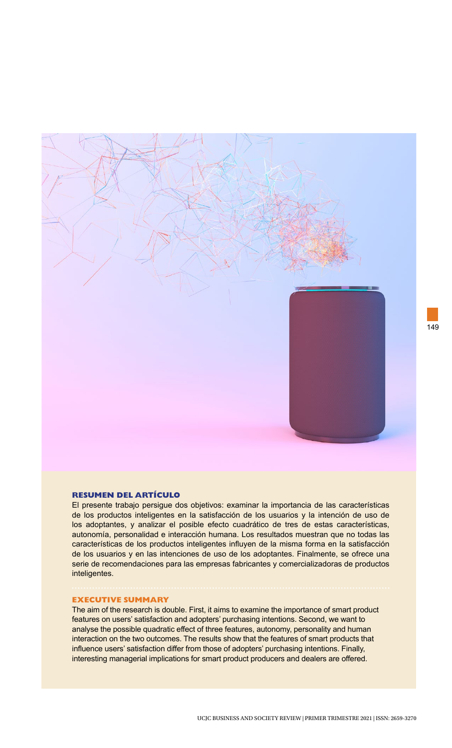

#### **RESUMEN DEL ARTÍCULO**

El presente trabajo persigue dos objetivos: examinar la importancia de las características de los productos inteligentes en la satisfacción de los usuarios y la intención de uso de los adoptantes, y analizar el posible efecto cuadrático de tres de estas características, autonomía, personalidad e interacción humana. Los resultados muestran que no todas las características de los productos inteligentes influyen de la misma forma en la satisfacción de los usuarios y en las intenciones de uso de los adoptantes. Finalmente, se ofrece una serie de recomendaciones para las empresas fabricantes y comercializadoras de productos inteligentes.

#### **EXECUTIVE SUMMARY**

The aim of the research is double. First, it aims to examine the importance of smart product features on users' satisfaction and adopters' purchasing intentions. Second, we want to analyse the possible quadratic effect of three features, autonomy, personality and human interaction on the two outcomes. The results show that the features of smart products that influence users' satisfaction differ from those of adopters' purchasing intentions. Finally, interesting managerial implications for smart product producers and dealers are offered.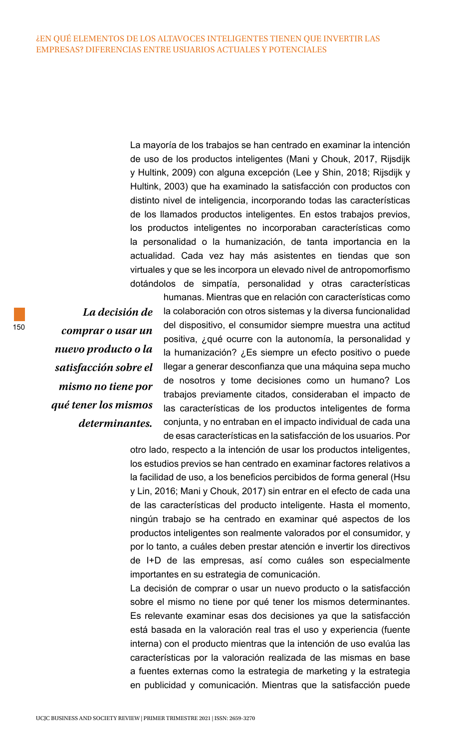La mayoría de los trabajos se han centrado en examinar la intención de uso de los productos inteligentes (Mani y Chouk, 2017, Rijsdijk y Hultink, 2009) con alguna excepción (Lee y Shin, 2018; Rijsdijk y Hultink, 2003) que ha examinado la satisfacción con productos con distinto nivel de inteligencia, incorporando todas las características de los llamados productos inteligentes. En estos trabajos previos, los productos inteligentes no incorporaban características como la personalidad o la humanización, de tanta importancia en la actualidad. Cada vez hay más asistentes en tiendas que son virtuales y que se les incorpora un elevado nivel de antropomorfismo dotándolos de simpatía, personalidad y otras características

*La decisión de comprar o usar un nuevo producto o la satisfacción sobre el mismo no tiene por qué tener los mismos determinantes.* humanas. Mientras que en relación con características como la colaboración con otros sistemas y la diversa funcionalidad del dispositivo, el consumidor siempre muestra una actitud positiva, ¿qué ocurre con la autonomía, la personalidad y la humanización? ¿Es siempre un efecto positivo o puede llegar a generar desconfianza que una máquina sepa mucho de nosotros y tome decisiones como un humano? Los trabajos previamente citados, consideraban el impacto de las características de los productos inteligentes de forma conjunta, y no entraban en el impacto individual de cada una de esas características en la satisfacción de los usuarios. Por

otro lado, respecto a la intención de usar los productos inteligentes, los estudios previos se han centrado en examinar factores relativos a la facilidad de uso, a los beneficios percibidos de forma general (Hsu y Lin, 2016; Mani y Chouk, 2017) sin entrar en el efecto de cada una de las características del producto inteligente. Hasta el momento, ningún trabajo se ha centrado en examinar qué aspectos de los productos inteligentes son realmente valorados por el consumidor, y por lo tanto, a cuáles deben prestar atención e invertir los directivos de I+D de las empresas, así como cuáles son especialmente importantes en su estrategia de comunicación.

La decisión de comprar o usar un nuevo producto o la satisfacción sobre el mismo no tiene por qué tener los mismos determinantes. Es relevante examinar esas dos decisiones ya que la satisfacción está basada en la valoración real tras el uso y experiencia (fuente interna) con el producto mientras que la intención de uso evalúa las características por la valoración realizada de las mismas en base a fuentes externas como la estrategia de marketing y la estrategia en publicidad y comunicación. Mientras que la satisfacción puede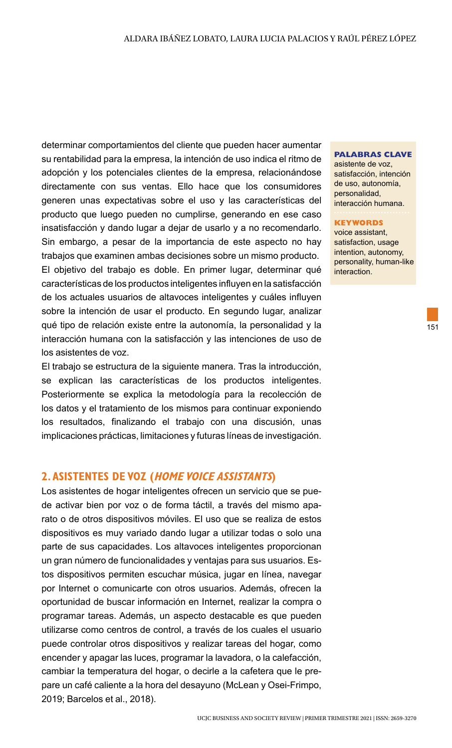determinar comportamientos del cliente que pueden hacer aumentar su rentabilidad para la empresa, la intención de uso indica el ritmo de adopción y los potenciales clientes de la empresa, relacionándose directamente con sus ventas. Ello hace que los consumidores generen unas expectativas sobre el uso y las características del producto que luego pueden no cumplirse, generando en ese caso insatisfacción y dando lugar a dejar de usarlo y a no recomendarlo. Sin embargo, a pesar de la importancia de este aspecto no hay trabajos que examinen ambas decisiones sobre un mismo producto. El objetivo del trabajo es doble. En primer lugar, determinar qué características de los productos inteligentes influyen en la satisfacción de los actuales usuarios de altavoces inteligentes y cuáles influyen sobre la intención de usar el producto. En segundo lugar, analizar qué tipo de relación existe entre la autonomía, la personalidad y la interacción humana con la satisfacción y las intenciones de uso de los asistentes de voz.

El trabajo se estructura de la siguiente manera. Tras la introducción, se explican las características de los productos inteligentes. Posteriormente se explica la metodología para la recolección de los datos y el tratamiento de los mismos para continuar exponiendo los resultados, finalizando el trabajo con una discusión, unas implicaciones prácticas, limitaciones y futuras líneas de investigación.

## **2. ASISTENTES DE VOZ (HOME VOICE ASSISTANTS)**

Los asistentes de hogar inteligentes ofrecen un servicio que se puede activar bien por voz o de forma táctil, a través del mismo aparato o de otros dispositivos móviles. El uso que se realiza de estos dispositivos es muy variado dando lugar a utilizar todas o solo una parte de sus capacidades. Los altavoces inteligentes proporcionan un gran número de funcionalidades y ventajas para sus usuarios. Estos dispositivos permiten escuchar música, jugar en línea, navegar por Internet o comunicarte con otros usuarios. Además, ofrecen la oportunidad de buscar información en Internet, realizar la compra o programar tareas. Además, un aspecto destacable es que pueden utilizarse como centros de control, a través de los cuales el usuario puede controlar otros dispositivos y realizar tareas del hogar, como encender y apagar las luces, programar la lavadora, o la calefacción, cambiar la temperatura del hogar, o decirle a la cafetera que le prepare un café caliente a la hora del desayuno (McLean y Osei-Frimpo, 2019; Barcelos et al., 2018).

#### **PALABRAS CLAVE**

asistente de voz, satisfacción, intención de uso, autonomía, personalidad, interacción humana.

#### **KEYWORDS**

voice assistant, satisfaction, usage intention, autonomy, personality, human-like interaction.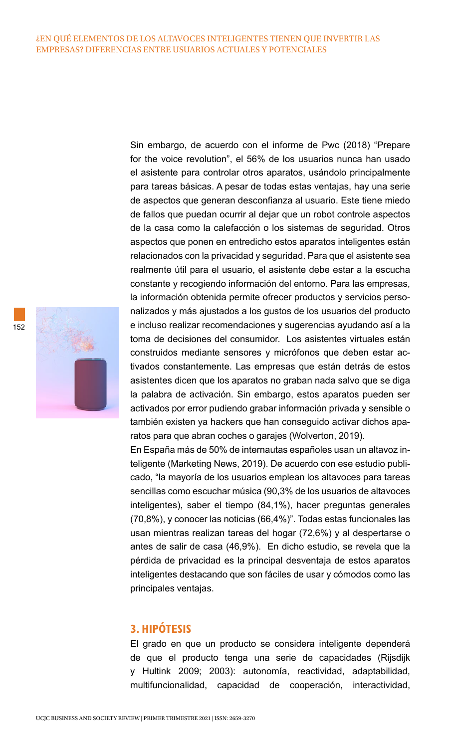Sin embargo, de acuerdo con el informe de Pwc (2018) "Prepare for the voice revolution", el 56% de los usuarios nunca han usado el asistente para controlar otros aparatos, usándolo principalmente para tareas básicas. A pesar de todas estas ventajas, hay una serie de aspectos que generan desconfianza al usuario. Este tiene miedo de fallos que puedan ocurrir al dejar que un robot controle aspectos de la casa como la calefacción o los sistemas de seguridad. Otros aspectos que ponen en entredicho estos aparatos inteligentes están relacionados con la privacidad y seguridad. Para que el asistente sea realmente útil para el usuario, el asistente debe estar a la escucha constante y recogiendo información del entorno. Para las empresas, la información obtenida permite ofrecer productos y servicios personalizados y más ajustados a los gustos de los usuarios del producto e incluso realizar recomendaciones y sugerencias ayudando así a la toma de decisiones del consumidor. Los asistentes virtuales están construidos mediante sensores y micrófonos que deben estar activados constantemente. Las empresas que están detrás de estos asistentes dicen que los aparatos no graban nada salvo que se diga la palabra de activación. Sin embargo, estos aparatos pueden ser activados por error pudiendo grabar información privada y sensible o también existen ya hackers que han conseguido activar dichos aparatos para que abran coches o garajes (Wolverton, 2019).

En España más de 50% de internautas españoles usan un altavoz inteligente (Marketing News, 2019). De acuerdo con ese estudio publicado, "la mayoría de los usuarios emplean los altavoces para tareas sencillas como escuchar música (90,3% de los usuarios de altavoces inteligentes), saber el tiempo (84,1%), hacer preguntas generales (70,8%), y conocer las noticias (66,4%)". Todas estas funcionales las usan mientras realizan tareas del hogar (72,6%) y al despertarse o antes de salir de casa (46,9%). En dicho estudio, se revela que la pérdida de privacidad es la principal desventaja de estos aparatos inteligentes destacando que son fáciles de usar y cómodos como las principales ventajas.

# **3. HIPÓTESIS**

El grado en que un producto se considera inteligente dependerá de que el producto tenga una serie de capacidades (Rijsdijk y Hultink 2009; 2003): autonomía, reactividad, adaptabilidad, multifuncionalidad, capacidad de cooperación, interactividad,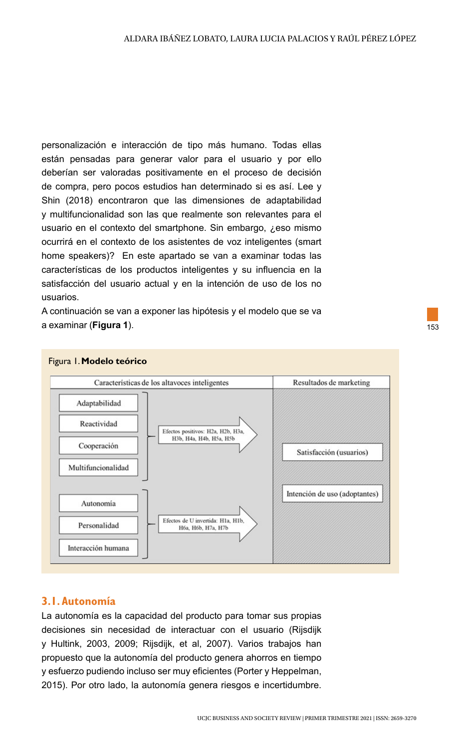personalización e interacción de tipo más humano. Todas ellas están pensadas para generar valor para el usuario y por ello deberían ser valoradas positivamente en el proceso de decisión de compra, pero pocos estudios han determinado si es así. Lee y Shin (2018) encontraron que las dimensiones de adaptabilidad y multifuncionalidad son las que realmente son relevantes para el usuario en el contexto del smartphone. Sin embargo, ¿eso mismo ocurrirá en el contexto de los asistentes de voz inteligentes (smart home speakers)? En este apartado se van a examinar todas las características de los productos inteligentes y su influencia en la satisfacción del usuario actual y en la intención de uso de los no usuarios.

A continuación se van a exponer las hipótesis y el modelo que se va a examinar (**Figura 1**).



#### Figura 1. **Modelo teórico**

# **3.1. Autonomía**

La autonomía es la capacidad del producto para tomar sus propias decisiones sin necesidad de interactuar con el usuario (Rijsdijk y Hultink, 2003, 2009; Rijsdijk, et al, 2007). Varios trabajos han propuesto que la autonomía del producto genera ahorros en tiempo y esfuerzo pudiendo incluso ser muy eficientes (Porter y Heppelman, 2015). Por otro lado, la autonomía genera riesgos e incertidumbre.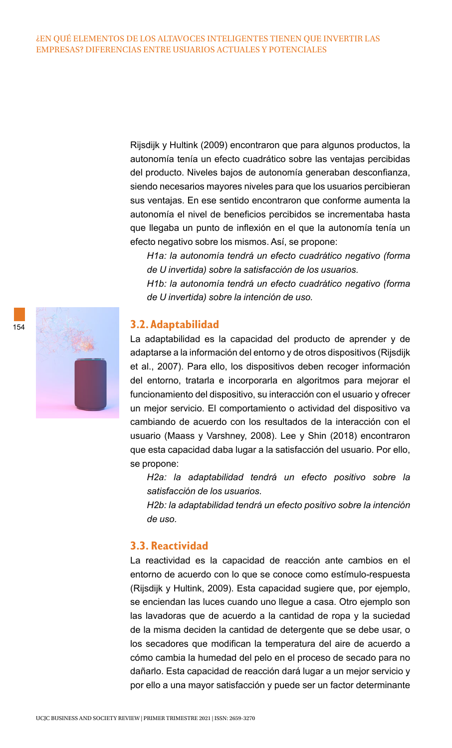Rijsdijk y Hultink (2009) encontraron que para algunos productos, la autonomía tenía un efecto cuadrático sobre las ventajas percibidas del producto. Niveles bajos de autonomía generaban desconfianza, siendo necesarios mayores niveles para que los usuarios percibieran sus ventajas. En ese sentido encontraron que conforme aumenta la autonomía el nivel de beneficios percibidos se incrementaba hasta que llegaba un punto de inflexión en el que la autonomía tenía un efecto negativo sobre los mismos. Así, se propone:

*H1a: la autonomía tendrá un efecto cuadrático negativo (forma de U invertida) sobre la satisfacción de los usuarios.*

*H1b: la autonomía tendrá un efecto cuadrático negativo (forma de U invertida) sobre la intención de uso.*

#### **3.2. Adaptabilidad**

La adaptabilidad es la capacidad del producto de aprender y de adaptarse a la información del entorno y de otros dispositivos (Rijsdijk et al., 2007). Para ello, los dispositivos deben recoger información del entorno, tratarla e incorporarla en algoritmos para mejorar el funcionamiento del dispositivo, su interacción con el usuario y ofrecer un mejor servicio. El comportamiento o actividad del dispositivo va cambiando de acuerdo con los resultados de la interacción con el usuario (Maass y Varshney, 2008). Lee y Shin (2018) encontraron que esta capacidad daba lugar a la satisfacción del usuario. Por ello, se propone:

*H2a: la adaptabilidad tendrá un efecto positivo sobre la satisfacción de los usuarios.*

*H2b: la adaptabilidad tendrá un efecto positivo sobre la intención de uso.*

## **3.3. Reactividad**

La reactividad es la capacidad de reacción ante cambios en el entorno de acuerdo con lo que se conoce como estímulo-respuesta (Rijsdijk y Hultink, 2009). Esta capacidad sugiere que, por ejemplo, se enciendan las luces cuando uno llegue a casa. Otro ejemplo son las lavadoras que de acuerdo a la cantidad de ropa y la suciedad de la misma deciden la cantidad de detergente que se debe usar, o los secadores que modifican la temperatura del aire de acuerdo a cómo cambia la humedad del pelo en el proceso de secado para no dañarlo. Esta capacidad de reacción dará lugar a un mejor servicio y por ello a una mayor satisfacción y puede ser un factor determinante

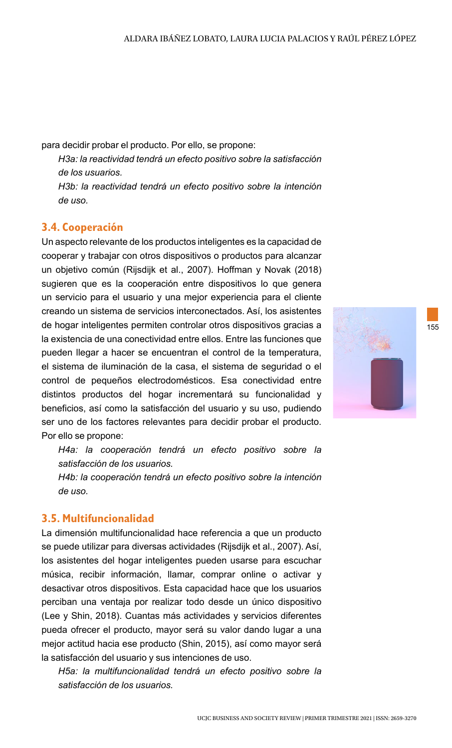para decidir probar el producto. Por ello, se propone:

*H3a: la reactividad tendrá un efecto positivo sobre la satisfacción de los usuarios.*

*H3b: la reactividad tendrá un efecto positivo sobre la intención de uso.*

# **3.4. Cooperación**

Un aspecto relevante de los productos inteligentes es la capacidad de cooperar y trabajar con otros dispositivos o productos para alcanzar un objetivo común (Rijsdijk et al., 2007). Hoffman y Novak (2018) sugieren que es la cooperación entre dispositivos lo que genera un servicio para el usuario y una mejor experiencia para el cliente creando un sistema de servicios interconectados. Así, los asistentes de hogar inteligentes permiten controlar otros dispositivos gracias a la existencia de una conectividad entre ellos. Entre las funciones que pueden llegar a hacer se encuentran el control de la temperatura, el sistema de iluminación de la casa, el sistema de seguridad o el control de pequeños electrodomésticos. Esa conectividad entre distintos productos del hogar incrementará su funcionalidad y beneficios, así como la satisfacción del usuario y su uso, pudiendo ser uno de los factores relevantes para decidir probar el producto. Por ello se propone:

*H4a: la cooperación tendrá un efecto positivo sobre la satisfacción de los usuarios.*

*H4b: la cooperación tendrá un efecto positivo sobre la intención de uso.*

## **3.5. Multifuncionalidad**

La dimensión multifuncionalidad hace referencia a que un producto se puede utilizar para diversas actividades (Rijsdijk et al., 2007). Así, los asistentes del hogar inteligentes pueden usarse para escuchar música, recibir información, llamar, comprar online o activar y desactivar otros dispositivos. Esta capacidad hace que los usuarios perciban una ventaja por realizar todo desde un único dispositivo (Lee y Shin, 2018). Cuantas más actividades y servicios diferentes pueda ofrecer el producto, mayor será su valor dando lugar a una mejor actitud hacia ese producto (Shin, 2015), así como mayor será la satisfacción del usuario y sus intenciones de uso.

*H5a: la multifuncionalidad tendrá un efecto positivo sobre la satisfacción de los usuarios.*

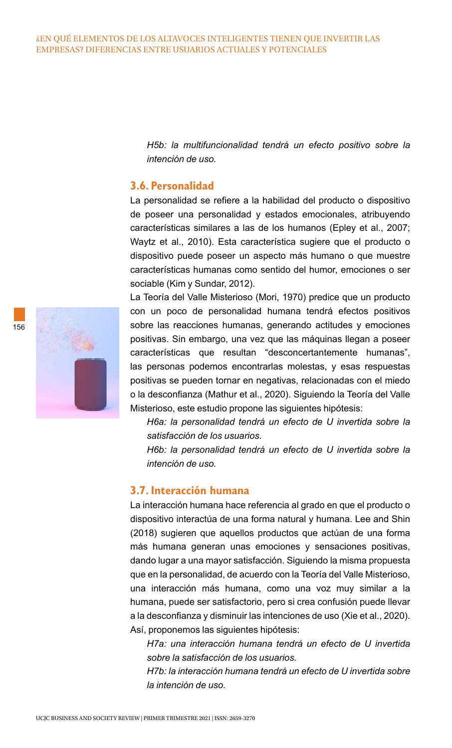*H5b: la multifuncionalidad tendrá un efecto positivo sobre la intención de uso.*

## **3.6. Personalidad**

La personalidad se refiere a la habilidad del producto o dispositivo de poseer una personalidad y estados emocionales, atribuyendo características similares a las de los humanos (Epley et al., 2007; Waytz et al., 2010). Esta característica sugiere que el producto o dispositivo puede poseer un aspecto más humano o que muestre características humanas como sentido del humor, emociones o ser sociable (Kim y Sundar, 2012).

156

La Teoría del Valle Misterioso (Mori, 1970) predice que un producto con un poco de personalidad humana tendrá efectos positivos sobre las reacciones humanas, generando actitudes y emociones positivas. Sin embargo, una vez que las máquinas llegan a poseer características que resultan "desconcertantemente humanas", las personas podemos encontrarlas molestas, y esas respuestas positivas se pueden tornar en negativas, relacionadas con el miedo o la desconfianza (Mathur et al., 2020). Siguiendo la Teoría del Valle Misterioso, este estudio propone las siguientes hipótesis:

*H6a: la personalidad tendrá un efecto de U invertida sobre la satisfacción de los usuarios.*

*H6b: la personalidad tendrá un efecto de U invertida sobre la intención de uso.*

# **3.7. Interacción humana**

La interacción humana hace referencia al grado en que el producto o dispositivo interactúa de una forma natural y humana. Lee and Shin (2018) sugieren que aquellos productos que actúan de una forma más humana generan unas emociones y sensaciones positivas, dando lugar a una mayor satisfacción. Siguiendo la misma propuesta que en la personalidad, de acuerdo con la Teoría del Valle Misterioso, una interacción más humana, como una voz muy similar a la humana, puede ser satisfactorio, pero si crea confusión puede llevar a la desconfianza y disminuir las intenciones de uso (Xie et al., 2020). Así, proponemos las siguientes hipótesis:

*H7a: una interacción humana tendrá un efecto de U invertida sobre la satisfacción de los usuarios.*

*H7b: la interacción humana tendrá un efecto de U invertida sobre la intención de uso.*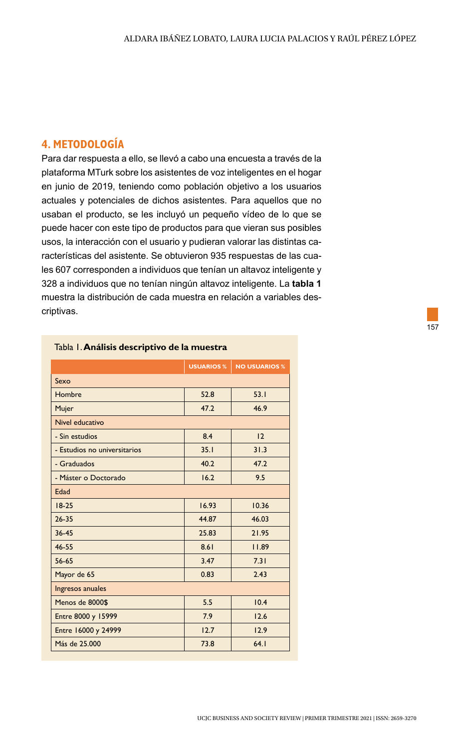# **4. METODOLOGÍA**

Para dar respuesta a ello, se llevó a cabo una encuesta a través de la plataforma MTurk sobre los asistentes de voz inteligentes en el hogar en junio de 2019, teniendo como población objetivo a los usuarios actuales y potenciales de dichos asistentes. Para aquellos que no usaban el producto, se les incluyó un pequeño vídeo de lo que se puede hacer con este tipo de productos para que vieran sus posibles usos, la interacción con el usuario y pudieran valorar las distintas características del asistente. Se obtuvieron 935 respuestas de las cuales 607 corresponden a individuos que tenían un altavoz inteligente y 328 a individuos que no tenían ningún altavoz inteligente. La **tabla 1** muestra la distribución de cada muestra en relación a variables descriptivas.

|                              | <b>USUARIOS %</b> | <b>NO USUARIOS %</b> |  |  |  |  |  |
|------------------------------|-------------------|----------------------|--|--|--|--|--|
| Sexo                         |                   |                      |  |  |  |  |  |
| Hombre                       | 52.8              | 53.1                 |  |  |  |  |  |
| Mujer                        | 47.2              | 46.9                 |  |  |  |  |  |
| Nivel educativo              |                   |                      |  |  |  |  |  |
| - Sin estudios               | 8.4               | 12                   |  |  |  |  |  |
| - Estudios no universitarios | 35.1              | 31.3                 |  |  |  |  |  |
| - Graduados                  | 40.2              | 47.2                 |  |  |  |  |  |
| - Máster o Doctorado         | 16.2              | 9.5                  |  |  |  |  |  |
| Edad                         |                   |                      |  |  |  |  |  |
| $18 - 25$                    | 16.93             | 10.36                |  |  |  |  |  |
| $26 - 35$                    | 44.87             | 46.03                |  |  |  |  |  |
| $36 - 45$                    | 25.83             | 21.95                |  |  |  |  |  |
| 46-55                        | 8.61              | 11.89                |  |  |  |  |  |
| 56-65                        | 3.47              | 7.31                 |  |  |  |  |  |
| Mayor de 65                  | 0.83              | 2.43                 |  |  |  |  |  |
| Ingresos anuales             |                   |                      |  |  |  |  |  |
| Menos de 8000\$              | 5.5               | 10.4                 |  |  |  |  |  |
| Entre 8000 y 15999           | 7.9               | 12.6                 |  |  |  |  |  |
| Entre 16000 y 24999          | 12.7              | 12.9                 |  |  |  |  |  |
| Más de 25.000                | 73.8              | 64.1                 |  |  |  |  |  |

#### Tabla 1. **Análisis descriptivo de la muestra**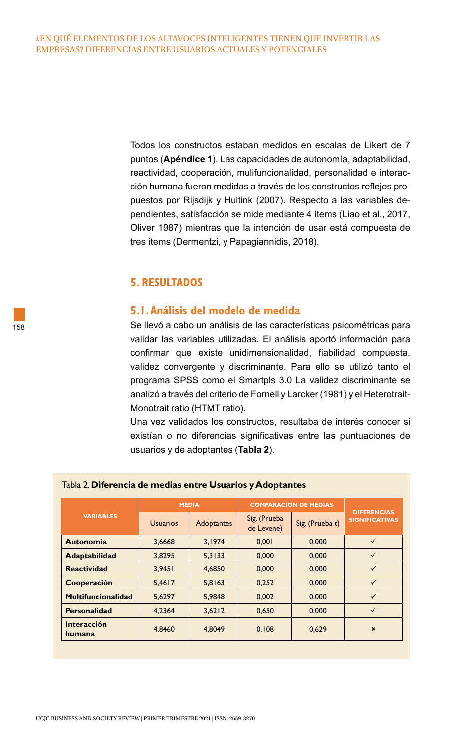Todos los constructos estaban medidos en escalas de Likert de 7 puntos (**Apéndice 1**). Las capacidades de autonomía, adaptabilidad, reactividad, cooperación, mulifuncionalidad, personalidad e interacción humana fueron medidas a través de los constructos reflejos propuestos por Rijsdijk y Hultink (2007). Respecto a las variables dependientes, satisfacción se mide mediante 4 ítems (Liao et al., 2017, Oliver 1987) mientras que la intención de usar está compuesta de tres ítems (Dermentzi, y Papagiannidis, 2018).

## **5. RESULTADOS**

## **5.1. Análisis del modelo de medida**

Se llevó a cabo un análisis de las características psicométricas para validar las variables utilizadas. El análisis aportó información para confirmar que existe unidimensionalidad, fiabilidad compuesta, validez convergente y discriminante. Para ello se utilizó tanto el programa SPSS como el Smartpls 3.0 La validez discriminante se analizó a través del criterio de Fornell y Larcker (1981) y el Heterotrait-Monotrait ratio (HTMT ratio).

Una vez validados los constructos, resultaba de interés conocer si existían o no diferencias significativas entre las puntuaciones de usuarios y de adoptantes (**Tabla 2**).

|                           | <b>MEDIA</b>    |            | <b>COMPARACIÓN DE MEDIAS</b> |                 |                                             |
|---------------------------|-----------------|------------|------------------------------|-----------------|---------------------------------------------|
| <b>VARIABLES</b>          | <b>Usuarios</b> | Adoptantes | Sig. (Prueba<br>de Levene)   | Sig. (Prueba t) | <b>DIFERENCIAS</b><br><b>SIGNIFICATIVAS</b> |
| Autonomía                 | 3,6668          | 3,1974     | 0.001                        | 0,000           | $\checkmark$                                |
| Adaptabilidad             | 3.8295          | 5,3133     | 0.000                        | 0,000           | $\checkmark$                                |
| <b>Reactividad</b>        | 3.9451          | 4,6850     | 0.000                        | 0,000           | $\checkmark$                                |
| Cooperación               | 5,4617          | 5,8163     | 0,252                        | 0,000           | $\checkmark$                                |
| <b>Multifuncionalidad</b> | 5.6297          | 5,9848     | 0.002                        | 0,000           | $\checkmark$                                |
| <b>Personalidad</b>       | 4,2364          | 3,6212     | 0,650                        | 0,000           | $\checkmark$                                |
| Interacción<br>humana     | 4.8460          | 4.8049     | 0.108                        | 0.629           | $\boldsymbol{\mathsf{x}}$                   |

#### Tabla 2. **Diferencia de medias entre Usuarios y Adoptantes**

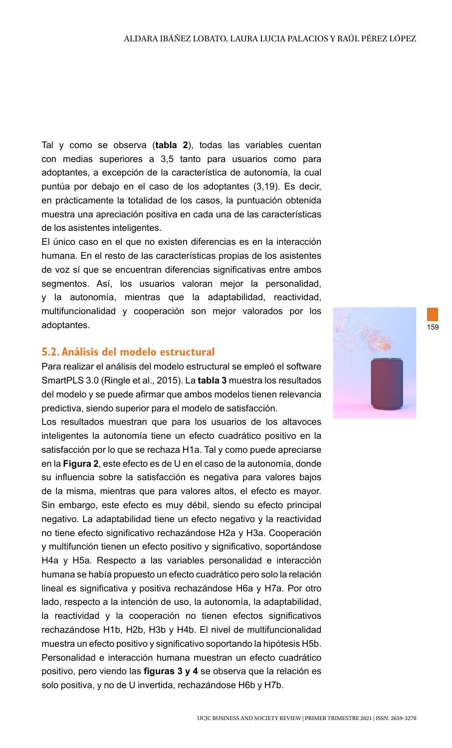Tal y como se observa (**tabla 2**), todas las variables cuentan con medias superiores a 3,5 tanto para usuarios como para adoptantes, a excepción de la característica de autonomía, la cual puntúa por debajo en el caso de los adoptantes (3,19). Es decir, en prácticamente la totalidad de los casos, la puntuación obtenida muestra una apreciación positiva en cada una de las características de los asistentes inteligentes.

El único caso en el que no existen diferencias es en la interacción humana. En el resto de las características propias de los asistentes de voz sí que se encuentran diferencias significativas entre ambos segmentos. Así, los usuarios valoran mejor la personalidad, y la autonomía, mientras que la adaptabilidad, reactividad, multifuncionalidad y cooperación son mejor valorados por los adoptantes.

## **5.2. Análisis del modelo estructural**

Para realizar el análisis del modelo estructural se empleó el software SmartPLS 3.0 (Ringle et al., 2015). La **tabla 3** muestra los resultados del modelo y se puede afirmar que ambos modelos tienen relevancia predictiva, siendo superior para el modelo de satisfacción.

Los resultados muestran que para los usuarios de los altavoces inteligentes la autonomía tiene un efecto cuadrático positivo en la satisfacción por lo que se rechaza H1a. Tal y como puede apreciarse en la **Figura 2**, este efecto es de U en el caso de la autonomía, donde su influencia sobre la satisfacción es negativa para valores bajos de la misma, mientras que para valores altos, el efecto es mayor. Sin embargo, este efecto es muy débil, siendo su efecto principal negativo. La adaptabilidad tiene un efecto negativo y la reactividad no tiene efecto significativo rechazándose H2a y H3a. Cooperación y multifunción tienen un efecto positivo y significativo, soportándose H4a y H5a. Respecto a las variables personalidad e interacción humana se había propuesto un efecto cuadrático pero solo la relación lineal es significativa y positiva rechazándose H6a y H7a. Por otro lado, respecto a la intención de uso, la autonomía, la adaptabilidad, la reactividad y la cooperación no tienen efectos significativos rechazándose H1b, H2b, H3b y H4b. El nivel de multifuncionalidad muestra un efecto positivo y significativo soportando la hipótesis H5b. Personalidad e interacción humana muestran un efecto cuadrático positivo, pero viendo las **figuras 3 y 4** se observa que la relación es solo positiva, y no de U invertida, rechazándose H6b y H7b.

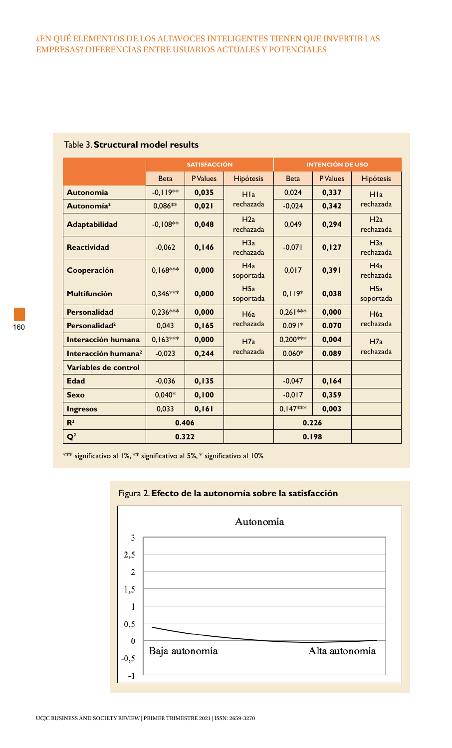#### ¿EN QUÉ ELEMENTOS DE LOS ALTAVOCES INTELIGENTES TIENEN QUE INVERTIR LAS EMPRESAS? DIFERENCIAS ENTRE USUARIOS ACTUALES Y POTENCIALES

|                                 | <b>SATISFACCIÓN</b> |                 |                  |             | <b>INTENCIÓN DE USO</b> |                  |
|---------------------------------|---------------------|-----------------|------------------|-------------|-------------------------|------------------|
|                                 | <b>Beta</b>         | <b>P</b> Values | <b>Hipótesis</b> | <b>Beta</b> | <b>P</b> Values         | <b>Hipótesis</b> |
| <b>Autonomia</b>                | $-0.119**$          | 0,035           | H1a              | 0,024       | 0,337                   | H1a              |
| Autonomía <sup>2</sup>          | $0.086**$           | 0,021           | rechazada        | $-0.024$    | 0,342                   | rechazada        |
| Adaptabilidad                   | $-0.108**$          | 0,048           | H2a<br>rechazada | 0,049       | 0,294                   | H2a<br>rechazada |
| <b>Reactividad</b>              | $-0.062$            | 0,146           | H3a<br>rechazada | $-0.071$    | 0, 127                  | H3a<br>rechazada |
| Cooperación                     | $0.168***$          | 0,000           | H4a<br>soportada | 0.017       | 0,391                   | H4a<br>rechazada |
| <b>Multifunción</b>             | $0.346***$          | 0,000           | H5a<br>soportada | $0.119*$    | 0,038                   | H5a<br>soportada |
| <b>Personalidad</b>             | $0,236***$          | 0,000           | H6a              | $0.261***$  | 0,000                   | H6a              |
| Personalidad <sup>2</sup>       | 0.043               | 0.165           | rechazada        | $0.091*$    | 0.070                   | rechazada        |
| Interacción humana              | $0.163***$          | 0.000           | H7a              | $0.200***$  | 0.004                   | H7a              |
| Interacción humana <sup>2</sup> | $-0,023$            | 0,244           | rechazada        | $0.060*$    | 0.089                   | rechazada        |
| Variables de control            |                     |                 |                  |             |                         |                  |
| <b>Edad</b>                     | $-0,036$            | 0, 135          |                  | $-0,047$    | 0, 164                  |                  |
| <b>Sexo</b>                     | $0.040*$            | 0, 100          |                  | $-0.017$    | 0,359                   |                  |
| Ingresos                        | 0.033               | 0, 161          |                  | $0.147***$  | 0,003                   |                  |
| $\mathbf{R}^2$                  | 0.406               |                 |                  | 0.226       |                         |                  |
| $\mathbf{Q}^2$                  |                     | 0.322           |                  | 0.198       |                         |                  |

## Table 3. **Structural model results**

\*\*\* significativo al 1%, \*\* significativo al 5%, \* significativo al 10%



#### Figura 2. **Efecto de la autonomía sobre la satisfacción**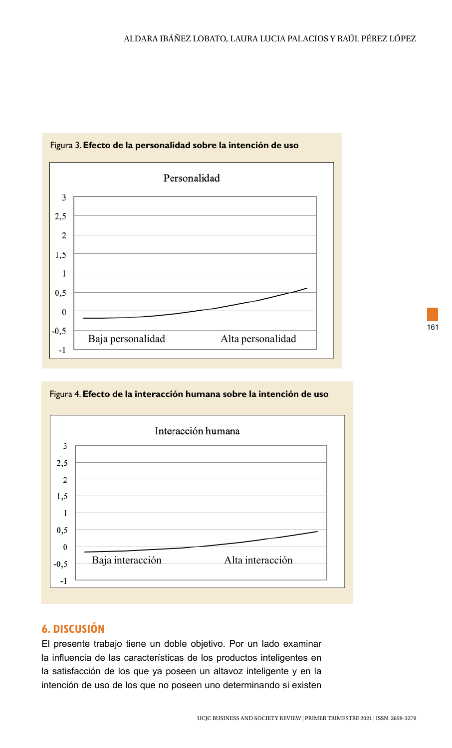

## Figura 3. **Efecto de la personalidad sobre la intención de uso**

Figura 4. **Efecto de la interacción humana sobre la intención de uso**



# **6. DISCUSIÓN**

El presente trabajo tiene un doble objetivo. Por un lado examinar la influencia de las características de los productos inteligentes en la satisfacción de los que ya poseen un altavoz inteligente y en la intención de uso de los que no poseen uno determinando si existen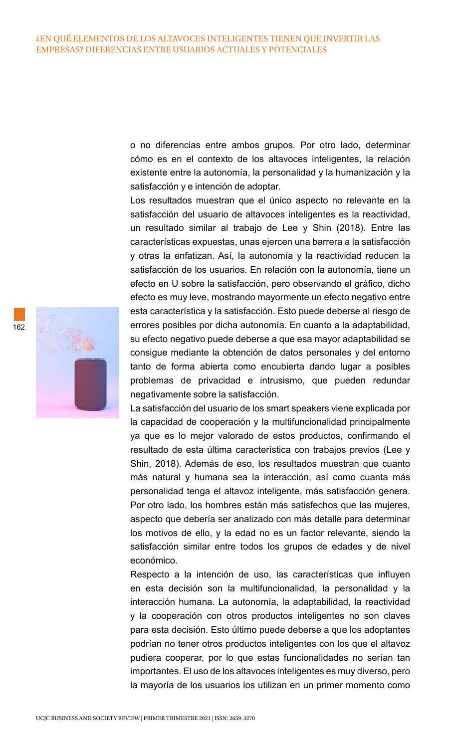o no diferencias entre ambos grupos. Por otro lado, determinar cómo es en el contexto de los altavoces inteligentes, la relación existente entre la autonomía, la personalidad y la humanización y la satisfacción y e intención de adoptar.

Los resultados muestran que el único aspecto no relevante en la satisfacción del usuario de altavoces inteligentes es la reactividad, un resultado similar al trabajo de Lee y Shin (2018). Entre las características expuestas, unas ejercen una barrera a la satisfacción y otras la enfatizan. Así, la autonomía y la reactividad reducen la satisfacción de los usuarios. En relación con la autonomía, tiene un efecto en U sobre la satisfacción, pero observando el gráfico, dicho efecto es muy leve, mostrando mayormente un efecto negativo entre esta característica y la satisfacción. Esto puede deberse al riesgo de errores posibles por dicha autonomía. En cuanto a la adaptabilidad, su efecto negativo puede deberse a que esa mayor adaptabilidad se consigue mediante la obtención de datos personales y del entorno tanto de forma abierta como encubierta dando lugar a posibles problemas de privacidad e intrusismo, que pueden redundar negativamente sobre la satisfacción.

La satisfacción del usuario de los smart speakers viene explicada por la capacidad de cooperación y la multifuncionalidad principalmente ya que es lo mejor valorado de estos productos, confirmando el resultado de esta última característica con trabajos previos (Lee y Shin, 2018). Además de eso, los resultados muestran que cuanto más natural y humana sea la interacción, así como cuanta más personalidad tenga el altavoz inteligente, más satisfacción genera. Por otro lado, los hombres están más satisfechos que las mujeres, aspecto que debería ser analizado con más detalle para determinar los motivos de ello, y la edad no es un factor relevante, siendo la satisfacción similar entre todos los grupos de edades y de nivel económico.

Respecto a la intención de uso, las características que influyen en esta decisión son la multifuncionalidad, la personalidad y la interacción humana. La autonomía, la adaptabilidad, la reactividad y la cooperación con otros productos inteligentes no son claves para esta decisión. Esto último puede deberse a que los adoptantes podrían no tener otros productos inteligentes con los que el altavoz pudiera cooperar, por lo que estas funcionalidades no serían tan importantes. El uso de los altavoces inteligentes es muy diverso, pero la mayoría de los usuarios los utilizan en un primer momento como



162

UCJC BUSINESS AND SOCIETY REVIEW | PRIMER TRIMESTRE 2021 | ISSN: 2659-3270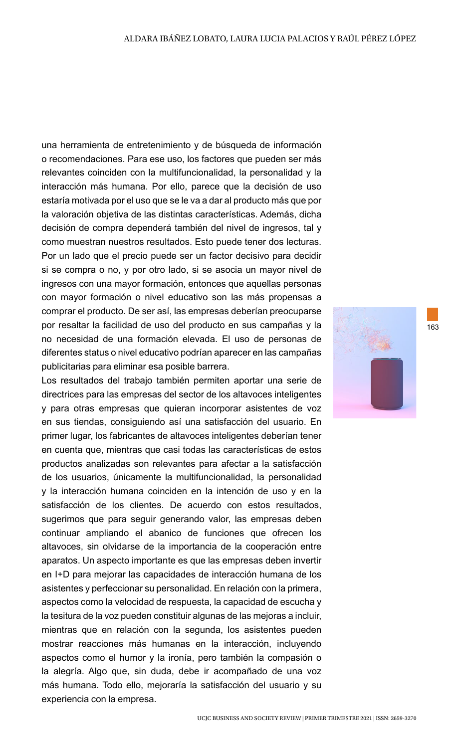una herramienta de entretenimiento y de búsqueda de información o recomendaciones. Para ese uso, los factores que pueden ser más relevantes coinciden con la multifuncionalidad, la personalidad y la interacción más humana. Por ello, parece que la decisión de uso estaría motivada por el uso que se le va a dar al producto más que por la valoración objetiva de las distintas características. Además, dicha decisión de compra dependerá también del nivel de ingresos, tal y como muestran nuestros resultados. Esto puede tener dos lecturas. Por un lado que el precio puede ser un factor decisivo para decidir si se compra o no, y por otro lado, si se asocia un mayor nivel de ingresos con una mayor formación, entonces que aquellas personas con mayor formación o nivel educativo son las más propensas a comprar el producto. De ser así, las empresas deberían preocuparse por resaltar la facilidad de uso del producto en sus campañas y la no necesidad de una formación elevada. El uso de personas de diferentes status o nivel educativo podrían aparecer en las campañas publicitarias para eliminar esa posible barrera.

Los resultados del trabajo también permiten aportar una serie de directrices para las empresas del sector de los altavoces inteligentes y para otras empresas que quieran incorporar asistentes de voz en sus tiendas, consiguiendo así una satisfacción del usuario. En primer lugar, los fabricantes de altavoces inteligentes deberían tener en cuenta que, mientras que casi todas las características de estos productos analizadas son relevantes para afectar a la satisfacción de los usuarios, únicamente la multifuncionalidad, la personalidad y la interacción humana coinciden en la intención de uso y en la satisfacción de los clientes. De acuerdo con estos resultados, sugerimos que para seguir generando valor, las empresas deben continuar ampliando el abanico de funciones que ofrecen los altavoces, sin olvidarse de la importancia de la cooperación entre aparatos. Un aspecto importante es que las empresas deben invertir en I+D para mejorar las capacidades de interacción humana de los asistentes y perfeccionar su personalidad. En relación con la primera, aspectos como la velocidad de respuesta, la capacidad de escucha y la tesitura de la voz pueden constituir algunas de las mejoras a incluir, mientras que en relación con la segunda, los asistentes pueden mostrar reacciones más humanas en la interacción, incluyendo aspectos como el humor y la ironía, pero también la compasión o la alegría. Algo que, sin duda, debe ir acompañado de una voz más humana. Todo ello, mejoraría la satisfacción del usuario y su experiencia con la empresa.

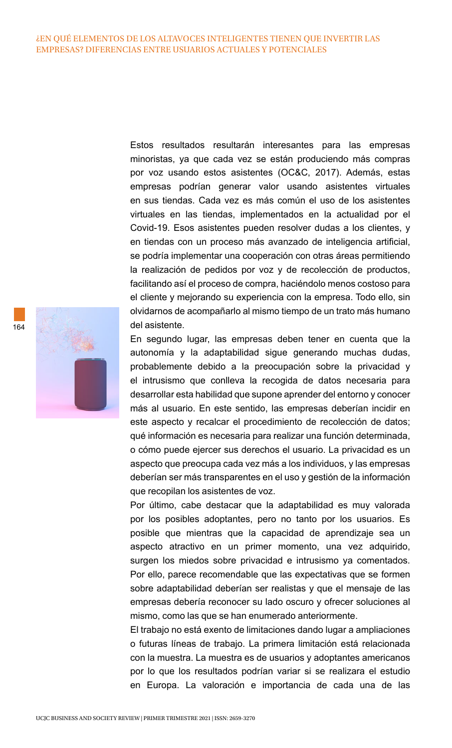Estos resultados resultarán interesantes para las empresas minoristas, ya que cada vez se están produciendo más compras por voz usando estos asistentes (OC&C, 2017). Además, estas empresas podrían generar valor usando asistentes virtuales en sus tiendas. Cada vez es más común el uso de los asistentes virtuales en las tiendas, implementados en la actualidad por el Covid-19. Esos asistentes pueden resolver dudas a los clientes, y en tiendas con un proceso más avanzado de inteligencia artificial, se podría implementar una cooperación con otras áreas permitiendo la realización de pedidos por voz y de recolección de productos, facilitando así el proceso de compra, haciéndolo menos costoso para el cliente y mejorando su experiencia con la empresa. Todo ello, sin olvidarnos de acompañarlo al mismo tiempo de un trato más humano del asistente.

En segundo lugar, las empresas deben tener en cuenta que la autonomía y la adaptabilidad sigue generando muchas dudas, probablemente debido a la preocupación sobre la privacidad y el intrusismo que conlleva la recogida de datos necesaria para desarrollar esta habilidad que supone aprender del entorno y conocer más al usuario. En este sentido, las empresas deberían incidir en este aspecto y recalcar el procedimiento de recolección de datos; qué información es necesaria para realizar una función determinada, o cómo puede ejercer sus derechos el usuario. La privacidad es un aspecto que preocupa cada vez más a los individuos, y las empresas deberían ser más transparentes en el uso y gestión de la información que recopilan los asistentes de voz.

Por último, cabe destacar que la adaptabilidad es muy valorada por los posibles adoptantes, pero no tanto por los usuarios. Es posible que mientras que la capacidad de aprendizaje sea un aspecto atractivo en un primer momento, una vez adquirido, surgen los miedos sobre privacidad e intrusismo ya comentados. Por ello, parece recomendable que las expectativas que se formen sobre adaptabilidad deberían ser realistas y que el mensaje de las empresas debería reconocer su lado oscuro y ofrecer soluciones al mismo, como las que se han enumerado anteriormente.

El trabajo no está exento de limitaciones dando lugar a ampliaciones o futuras líneas de trabajo. La primera limitación está relacionada con la muestra. La muestra es de usuarios y adoptantes americanos por lo que los resultados podrían variar si se realizara el estudio en Europa. La valoración e importancia de cada una de las

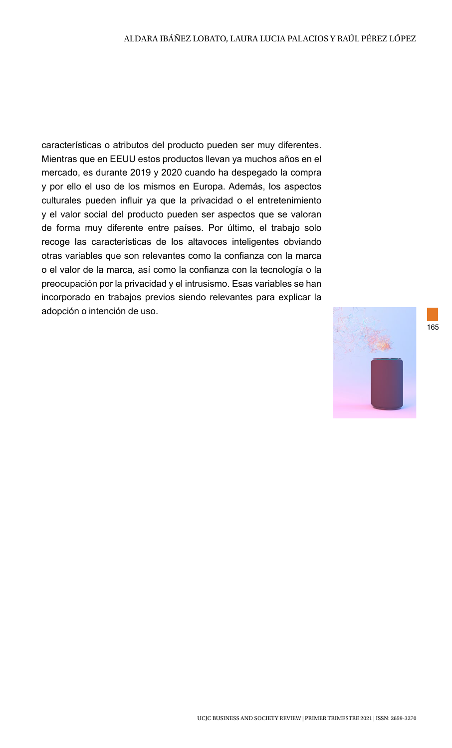características o atributos del producto pueden ser muy diferentes. Mientras que en EEUU estos productos llevan ya muchos años en el mercado, es durante 2019 y 2020 cuando ha despegado la compra y por ello el uso de los mismos en Europa. Además, los aspectos culturales pueden influir ya que la privacidad o el entretenimiento y el valor social del producto pueden ser aspectos que se valoran de forma muy diferente entre países. Por último, el trabajo solo recoge las características de los altavoces inteligentes obviando otras variables que son relevantes como la confianza con la marca o el valor de la marca, así como la confianza con la tecnología o la preocupación por la privacidad y el intrusismo. Esas variables se han incorporado en trabajos previos siendo relevantes para explicar la adopción o intención de uso.

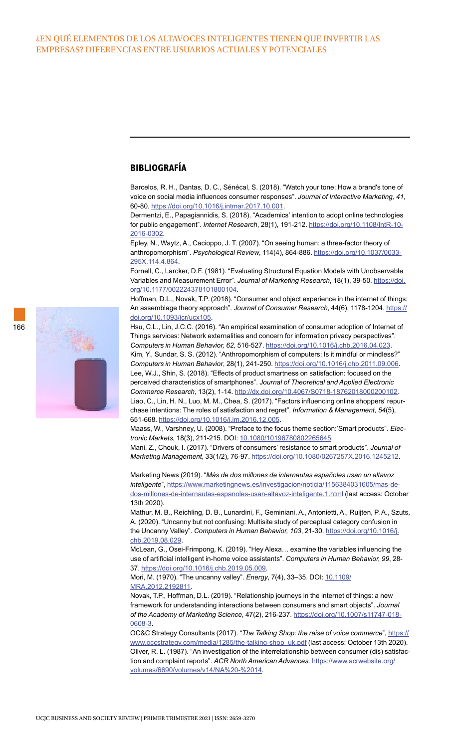### **BIBLIOGRAFÍA**

Barcelos, R. H., Dantas, D. C., Sénécal, S. (2018). "Watch your tone: How a brand's tone of voice on social media influences consumer responses". *Journal of Interactive Marketing, 41*, 60-80. [https://doi.org/10.1016/j.intmar.2017.10.001.](https://doi.org/10.1016/j.intmar.2017.10.001)

Dermentzi, E., Papagiannidis, S. (2018). "Academics' intention to adopt online technologies for public engagement". *Internet Research*, 28(1), 191-212. [https://doi.org/10.1108/IntR-10-](https://doi.org/10.1108/IntR-10-2016-0302) [2016-0302.](https://doi.org/10.1108/IntR-10-2016-0302)

Epley, N., Waytz, A., Cacioppo, J. T. (2007). "On seeing human: a three-factor theory of anthropomorphism". *Psychological Review*, 114(4), 864-886. [https://doi.org/10.1037/0033-](https://doi.org/10.1037/0033-295X.114.4.864) [295X.114.4.864](https://doi.org/10.1037/0033-295X.114.4.864).

Fornell, C., Larcker, D.F. (1981). "Evaluating Structural Equation Models with Unobservable Variables and Measurement Error". *Journal of Marketing Research*, 18(1), 39-50. [https://doi.](https://doi.org/10.1177/002224378101800104) [org/10.1177/002224378101800104](https://doi.org/10.1177/002224378101800104).

Hoffman, D.L., Novak, T.P. (2018). "Consumer and object experience in the internet of things: An assemblage theory approach". *Journal of Consumer Research*, 44(6), 1178-1204. [https://](https://doi.org/10.1093/jcr/ucx105) [doi.org/10.1093/jcr/ucx105.](https://doi.org/10.1093/jcr/ucx105)

Hsu, C.L., Lin, J.C.C. (2016). "An empirical examination of consumer adoption of Internet of Things services: Network externalities and concern for information privacy perspectives". *Computers in Human Behavior, 62*, 516-527.<https://doi.org/10.1016/j.chb.2016.04.023>. Kim, Y., Sundar, S. S. (2012). "Anthropomorphism of computers: Is it mindful or mindless?" *Computers in Human Behavior*, 28(1), 241-250. [https://doi.org/10.1016/j.chb.2011.09.006.](https://doi.org/10.1016/j.chb.2011.09.006) Lee, W.J., Shin, S. (2018). "Effects of product smartness on satisfaction: focused on the perceived characteristics of smartphones". *Journal of Theoretical and Applied Electronic Commerce Research*, 13(2), 1-14.<http://dx.doi.org/10.4067/S0718-18762018000200102>. Liao, C., Lin, H. N., Luo, M. M., Chea, S. (2017). "Factors influencing online shoppers' repurchase intentions: The roles of satisfaction and regret". *Information & Management, 54*(5), 651-668. [https://doi.org/10.1016/j.im.2016.12.005.](https://doi.org/10.1016/j.im.2016.12.005)

Maass, W., Varshney, U. (2008). "Preface to the focus theme section:'Smart products". *Electronic Markets*, 18(3), 211-215. DOI: [10.1080/10196780802265645.](https://doi.org/10.1080/10196780802265645)

Mani, Z., Chouk, I. (2017). "Drivers of consumers' resistance to smart products". *Journal of Marketing Management*, 33(1/2), 76-97. [https://doi.org/10.1080/0267257X.2016.1245212.](https://doi.org/10.1080/0267257X.2016.1245212)

Marketing News (2019). "*Más de dos millones de internautas españoles usan un altavoz inteligente*", [https://www.marketingnews.es/investigacion/noticia/1156384031605/mas-de](https://www.marketingnews.es/investigacion/noticia/1156384031605/mas-de-dos-millones-de-internautas-)[dos-millones-de-internautas-espanoles-usan-altavoz-inteligente.1.html](https://www.marketingnews.es/investigacion/noticia/1156384031605/mas-de-dos-millones-de-internautas-) (last access: October 13th 2020).

Mathur, M. B., Reichling, D. B., Lunardini, F., Geminiani, A., Antonietti, A., Ruijten, P. A., Szuts, A. (2020). "Uncanny but not confusing: Multisite study of perceptual category confusion in the Uncanny Valley". *Computers in Human Behavior, 103*, 21-30. [https://doi.org/10.1016/j.](https://doi.org/10.1016/j.chb.2019.08.029) [chb.2019.08.029](https://doi.org/10.1016/j.chb.2019.08.029).

McLean, G., Osei-Frimpong, K. (2019). "Hey Alexa… examine the variables influencing the use of artificial intelligent in-home voice assistants". *Computers in Human Behavior, 99*, 28- 37. [https://doi.org/10.1016/j.chb.2019.05.009.](https://doi.org/10.1016/j.chb.2019.05.009)

Mori, M. (1970). "The uncanny valley". *Energy*, 7(4), 33–35. DOI: [10.1109/](https://doi.org/10.1109/MRA.2012.2192811) [MRA.2012.2192811.](https://doi.org/10.1109/MRA.2012.2192811)

Novak, T.P., Hoffman, D.L. (2019). "Relationship journeys in the internet of things: a new framework for understanding interactions between consumers and smart objects". *Journal of the Academy of Marketing Science*, 47(2), 216-237. [https://doi.org/10.1007/s11747-018-](https://doi.org/10.1007/s11747-018-0608-3) [0608-3](https://doi.org/10.1007/s11747-018-0608-3).

OC&C Strategy Consultants (2017). "The Talking Shop: the raise of voice commerce", [https://](https://www.occstrategy.com/media/1285/the-talking-shop_uk.pdf) [www.occstrategy.com/media/1285/the-talking-shop\\_uk.pdf](https://www.occstrategy.com/media/1285/the-talking-shop_uk.pdf) (last access: October 13th 2020). Oliver, R. L. (1987). "An investigation of the interrelationship between consumer (dis) satisfaction and complaint reports". *ACR North American Advances.* [https://www.acrwebsite.org/](https://www.acrwebsite.org/volumes/6690/volumes/v14/NA%20-%2014) [volumes/6690/volumes/v14/NA%20-%2014.](https://www.acrwebsite.org/volumes/6690/volumes/v14/NA%20-%2014)

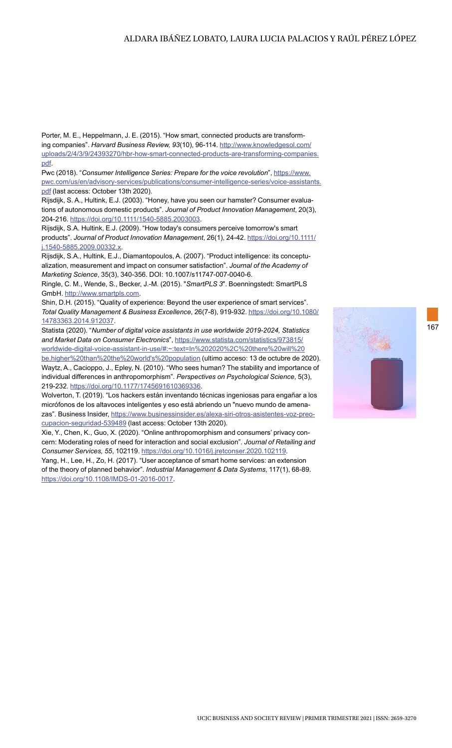#### ALDARA IBÁÑEZ LOBATO, LAURA LUCIA PALACIOS Y RAÚL PÉREZ LÓPEZ

Porter, M. E., Heppelmann, J. E. (2015). "How smart, connected products are transforming companies". *Harvard Business Review, 93*(10), 96-114. [http://www.knowledgesol.com/](http://www.knowledgesol.com/uploads/2/4/3/9/24393270/hbr-how-smart-connected-products-are-transformi) [uploads/2/4/3/9/24393270/hbr-how-smart-connected-products-are-transforming-companies.](http://www.knowledgesol.com/uploads/2/4/3/9/24393270/hbr-how-smart-connected-products-are-transformi) [pdf](http://www.knowledgesol.com/uploads/2/4/3/9/24393270/hbr-how-smart-connected-products-are-transformi).

Pwc (2018). "*Consumer Intelligence Series: Prepare for the voice revolution*", [https://www.](https://www.pwc.com/us/en/advisory-services/publications/consumer-intelligence-series/voice-assistan) [pwc.com/us/en/advisory-services/publications/consumer-intelligence-series/voice-assistants.](https://www.pwc.com/us/en/advisory-services/publications/consumer-intelligence-series/voice-assistan) [pdf](https://www.pwc.com/us/en/advisory-services/publications/consumer-intelligence-series/voice-assistan) (last access: October 13th 2020).

Rijsdijk, S. A., Hultink, E.J. (2003). "Honey, have you seen our hamster? Consumer evaluations of autonomous domestic products". *Journal of Product Innovation Management*, 20(3), 204-216. [https://doi.org/10.1111/1540-5885.2003003.](https://doi.org/10.1111/1540-5885.2003003)

Rijsdijk, S.A. Hultink, E.J. (2009). "How today's consumers perceive tomorrow's smart products". *Journal of Product Innovation Management*, 26(1), 24-42. [https://doi.org/10.1111/](https://doi.org/10.1111/j.1540-5885.2009.00332.x) [j.1540-5885.2009.00332.x.](https://doi.org/10.1111/j.1540-5885.2009.00332.x)

Rijsdijk, S.A., Hultink, E.J., Diamantopoulos, A. (2007). "Product intelligence: its conceptualization, measurement and impact on consumer satisfaction". *Journal of the Academy of Marketing Science*, 35(3), 340-356. DOI: 10.1007/s11747-007-0040-6.

Ringle, C. M., Wende, S., Becker, J.-M. (2015). "*SmartPLS 3*". Boenningstedt: SmartPLS GmbH.<http://www.smartpls.com>.

Shin, D.H. (2015). "Quality of experience: Beyond the user experience of smart services". *Total Quality Management & Business Excellence*, 26(7-8), 919-932. [https://doi.org/10.1080/](https://doi.org/10.1080/14783363.2014.912037) [14783363.2014.912037](https://doi.org/10.1080/14783363.2014.912037).

Statista (2020). "*Number of digital voice assistants in use worldwide 2019-2024, Statistics and Market Data on Consumer Electronics*", [https://www.statista.com/statistics/973815/](https://www.statista.com/statistics/973815/worldwide-digital-voice-assistant-in-use/#:~:text=In%2020) [worldwide-digital-voice-assistant-in-use/#:~:text=In%202020%2C%20there%20will%20](https://www.statista.com/statistics/973815/worldwide-digital-voice-assistant-in-use/#:~:text=In%2020) [be,higher%20than%20the%20world's%20population](https://www.statista.com/statistics/973815/worldwide-digital-voice-assistant-in-use/#:~:text=In%2020) (ultimo acceso: 13 de octubre de 2020).

Waytz, A., Cacioppo, J., Epley, N. (2010). "Who sees human? The stability and importance of individual differences in anthropomorphism". *Perspectives on Psychological Science*, 5(3), 219-232.<https://doi.org/10.1177/1745691610369336>.

Wolverton, T. (2019). "Los hackers están inventando técnicas ingeniosas para engañar a los micrófonos de los altavoces inteligentes y eso está abriendo un "nuevo mundo de amenazas". Business Insider, [https://www.businessinsider.es/alexa-siri-otros-asistentes-voz-preo](https://www.businessinsider.es/alexa-siri-otros-asistentes-voz-preocupacion-seguridad-539489)[cupacion-seguridad-539489](https://www.businessinsider.es/alexa-siri-otros-asistentes-voz-preocupacion-seguridad-539489) (last access: October 13th 2020).

Xie, Y., Chen, K., Guo, X. (2020). "Online anthropomorphism and consumers' privacy concern: Moderating roles of need for interaction and social exclusion". *Journal of Retailing and Consumer Services, 55*, 102119.<https://doi.org/10.1016/j.jretconser.2020.102119>.

Yang, H., Lee, H., Zo, H. (2017). "User acceptance of smart home services: an extension of the theory of planned behavior". *Industrial Management & Data Systems*, 117(1), 68-89. <https://doi.org/10.1108/IMDS-01-2016-0017>.

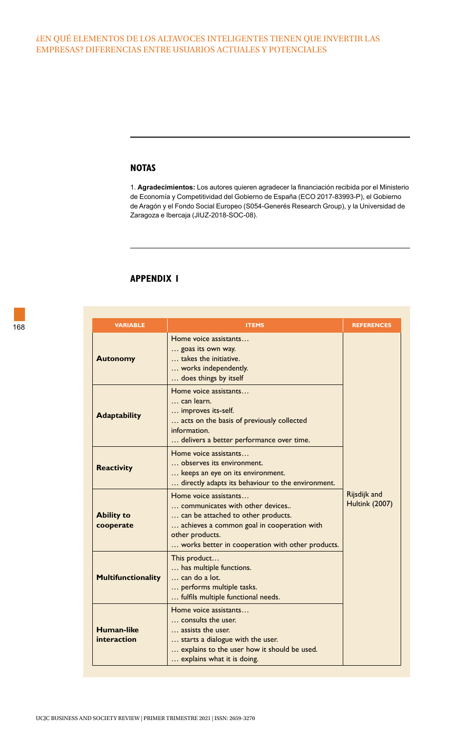#### ¿EN QUÉ ELEMENTOS DE LOS ALTAVOCES INTELIGENTES TIENEN QUE INVERTIR LAS EMPRESAS? DIFERENCIAS ENTRE USUARIOS ACTUALES Y POTENCIALES

#### **NOTAS**

1. **Agradecimientos:** Los autores quieren agradecer la financiación recibida por el Ministerio de Economía y Competitividad del Gobierno de España (ECO 2017-83993-P), el Gobierno de Aragón y el Fondo Social Europeo (S054-Generés Research Group), y la Universidad de Zaragoza e Ibercaja (JIUZ-2018-SOC-08).

## **APPENDIX 1**

| 168 | <b>VARIABLE</b>                  | <b>ITEMS</b>                                                                                                                                                                                                        | <b>REFERENCES</b>                     |
|-----|----------------------------------|---------------------------------------------------------------------------------------------------------------------------------------------------------------------------------------------------------------------|---------------------------------------|
|     | <b>Autonomy</b>                  | Home voice assistants<br>goas its own way.<br>takes the initiative.<br>works independently.<br>does things by itself                                                                                                |                                       |
|     | <b>Adaptability</b>              | Home voice assistants<br>can learn.<br>improves its-self.<br>acts on the basis of previously collected<br>information.<br>delivers a better performance over time.                                                  |                                       |
|     | <b>Reactivity</b>                | Home voice assistants<br>observes its environment.<br>keeps an eye on its environment.<br>directly adapts its behaviour to the environment.                                                                         |                                       |
|     | <b>Ability to</b><br>cooperate   | Home voice assistants<br>communicates with other devices<br>can be attached to other products.<br>achieves a common goal in cooperation with<br>other products.<br>works better in cooperation with other products. | Rijsdijk and<br><b>Hultink (2007)</b> |
|     | <b>Multifunctionality</b>        | This product<br>has multiple functions.<br>can do a lot.<br>performs multiple tasks.<br>fulfils multiple functional needs.                                                                                          |                                       |
|     | <b>Human-like</b><br>interaction | Home voice assistants<br>consults the user.<br>assists the user.<br>starts a dialogue with the user.<br>explains to the user how it should be used.<br>explains what it is doing.                                   |                                       |